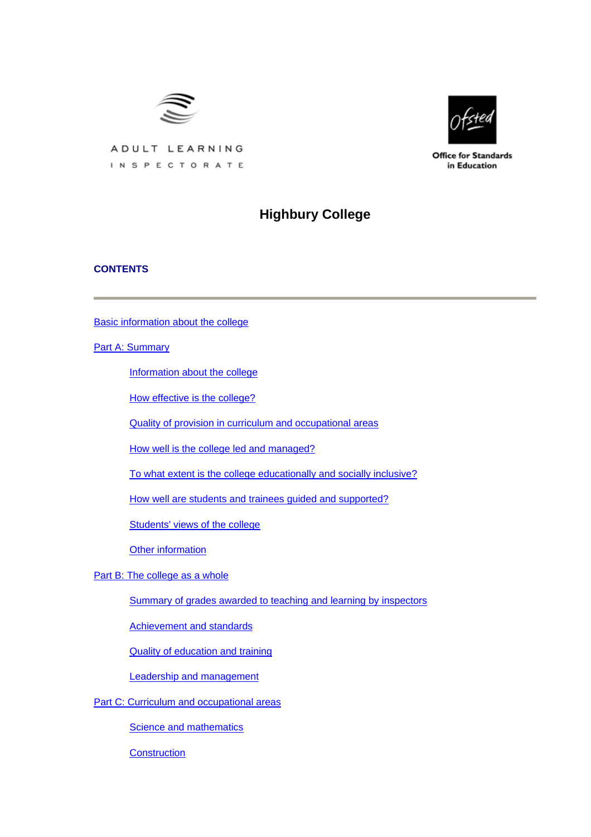

**Office for Standards** in Education

ADULT LEARNING INSPECTORATE

# **Highbury College**

# **CONTENTS**

[Basic information about the college](#page-1-0)

[Part A: Summary](#page-2-0)

[Information about the college](#page-2-0)

[How effective is the college?](#page-2-0)

[Quality of provision in curriculum and occupational areas](#page-5-0)

[How well is the college led and managed?](#page-6-0)

[To what extent is the college educationally and socially inclusive?](#page-6-0)

[How well are students and trainees guided and supported?](#page-7-0)

[Students' views of the college](#page-7-0)

[Other information](#page-8-0)

[Part B: The college as a whole](#page-8-0)

[Summary of grades awarded to teaching and learning by inspectors](#page-9-0)

[Achievement and standards](#page-9-0)

[Quality of education and training](#page-10-0)

[Leadership and management](#page-13-0)

[Part C: Curriculum and occupational areas](#page-15-0)

**[Science and mathematics](#page-15-0)** 

**[Construction](#page-19-0)**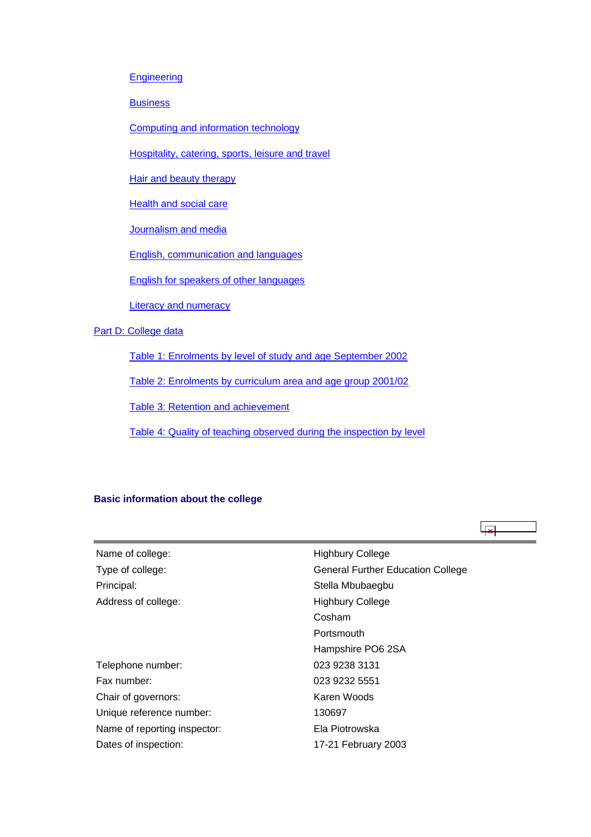#### <span id="page-1-0"></span>**[Engineering](#page-22-0)**

**[Business](#page-25-0)** 

[Computing and information technology](#page-28-0)

[Hospitality, catering, sports, leisure and travel](#page-31-0)

**[Hair and beauty therapy](#page-34-0)** 

[Health and social care](#page-37-0)

[Journalism and media](#page-40-0)

[English, communication and languages](#page-43-0)

[English for speakers of other languages](#page-46-0)

**[Literacy and numeracy](#page-49-0)** 

[Part D: College data](#page-52-0)

[Table 1: Enrolments by level of study and age September 2002](#page-52-0)

[Table 2: Enrolments by curriculum area and age group 2001/02](#page-52-0)

[Table 3: Retention and achievement](#page-53-0)

[Table 4: Quality of teaching observed during the inspection by level](#page-54-0)

# **Basic information about the college**

ا چا

| Name of college:             | <b>Highbury College</b>                  |
|------------------------------|------------------------------------------|
| Type of college:             | <b>General Further Education College</b> |
| Principal:                   | Stella Mbubaegbu                         |
| Address of college:          | <b>Highbury College</b>                  |
|                              | Cosham                                   |
|                              | Portsmouth                               |
|                              | Hampshire PO6 2SA                        |
| Telephone number:            | 023 9238 3131                            |
| Fax number:                  | 023 9232 5551                            |
| Chair of governors:          | Karen Woods                              |
| Unique reference number:     | 130697                                   |
| Name of reporting inspector: | Ela Piotrowska                           |
| Dates of inspection:         | 17-21 February 2003                      |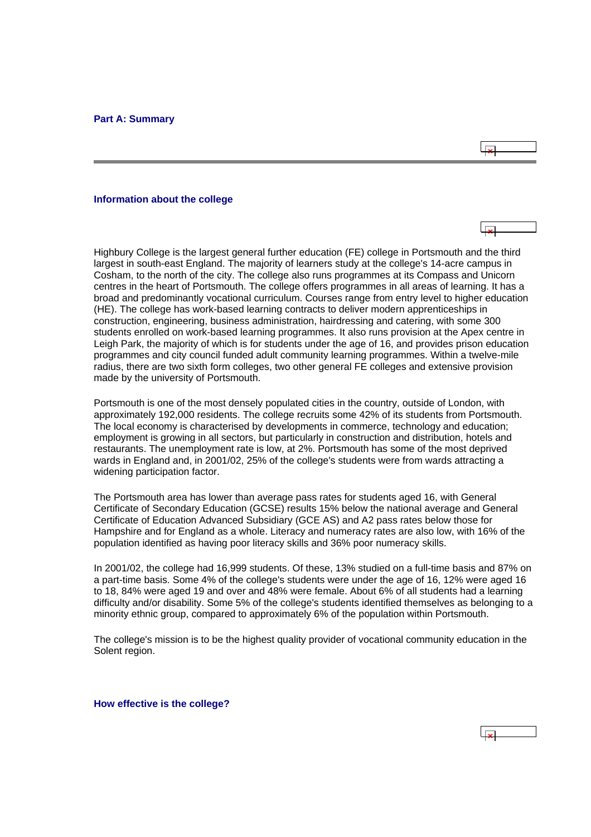#### <span id="page-2-0"></span>**Information about the college**

Highbury College is the largest general further education (FE) college in Portsmouth and the third largest in south-east England. The majority of learners study at the college's 14-acre campus in Cosham, to the north of the city. The college also runs programmes at its Compass and Unicorn centres in the heart of Portsmouth. The college offers programmes in all areas of learning. It has a broad and predominantly vocational curriculum. Courses range from entry level to higher education (HE). The college has work-based learning contracts to deliver modern apprenticeships in construction, engineering, business administration, hairdressing and catering, with some 300 students enrolled on work-based learning programmes. It also runs provision at the Apex centre in Leigh Park, the majority of which is for students under the age of 16, and provides prison education programmes and city council funded adult community learning programmes. Within a twelve-mile radius, there are two sixth form colleges, two other general FE colleges and extensive provision made by the university of Portsmouth.

Portsmouth is one of the most densely populated cities in the country, outside of London, with approximately 192,000 residents. The college recruits some 42% of its students from Portsmouth. The local economy is characterised by developments in commerce, technology and education; employment is growing in all sectors, but particularly in construction and distribution, hotels and restaurants. The unemployment rate is low, at 2%. Portsmouth has some of the most deprived wards in England and, in 2001/02, 25% of the college's students were from wards attracting a widening participation factor.

The Portsmouth area has lower than average pass rates for students aged 16, with General Certificate of Secondary Education (GCSE) results 15% below the national average and General Certificate of Education Advanced Subsidiary (GCE AS) and A2 pass rates below those for Hampshire and for England as a whole. Literacy and numeracy rates are also low, with 16% of the population identified as having poor literacy skills and 36% poor numeracy skills.

In 2001/02, the college had 16,999 students. Of these, 13% studied on a full-time basis and 87% on a part-time basis. Some 4% of the college's students were under the age of 16, 12% were aged 16 to 18, 84% were aged 19 and over and 48% were female. About 6% of all students had a learning difficulty and/or disability. Some 5% of the college's students identified themselves as belonging to a minority ethnic group, compared to approximately 6% of the population within Portsmouth.

The college's mission is to be the highest quality provider of vocational community education in the Solent region.

**How effective is the college?**

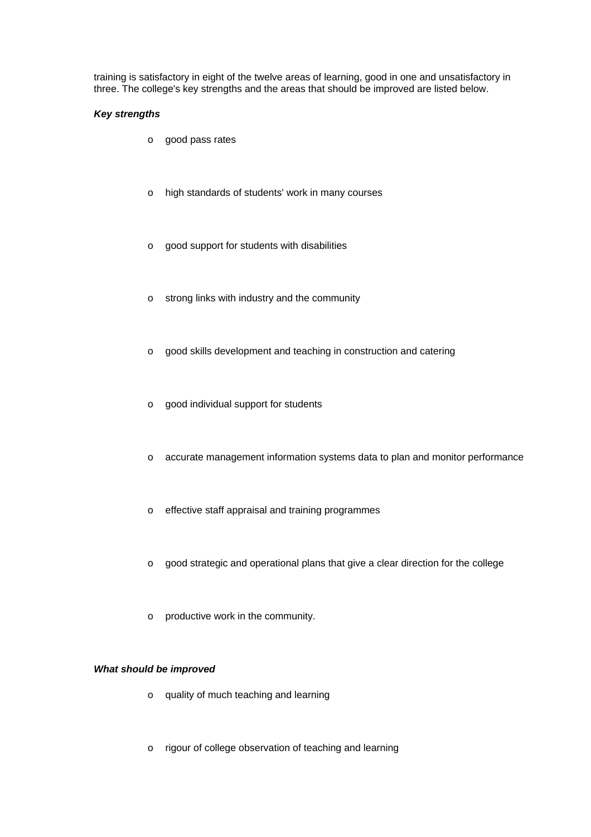training is satisfactory in eight of the twelve areas of learning, good in one and unsatisfactory in three. The college's key strengths and the areas that should be improved are listed below.

# *Key strengths*

- o good pass rates
- o high standards of students' work in many courses
- o good support for students with disabilities
- o strong links with industry and the community
- o good skills development and teaching in construction and catering
- o good individual support for students
- o accurate management information systems data to plan and monitor performance
- o effective staff appraisal and training programmes
- o good strategic and operational plans that give a clear direction for the college
- o productive work in the community.

# *What should be improved*

- o quality of much teaching and learning
- o rigour of college observation of teaching and learning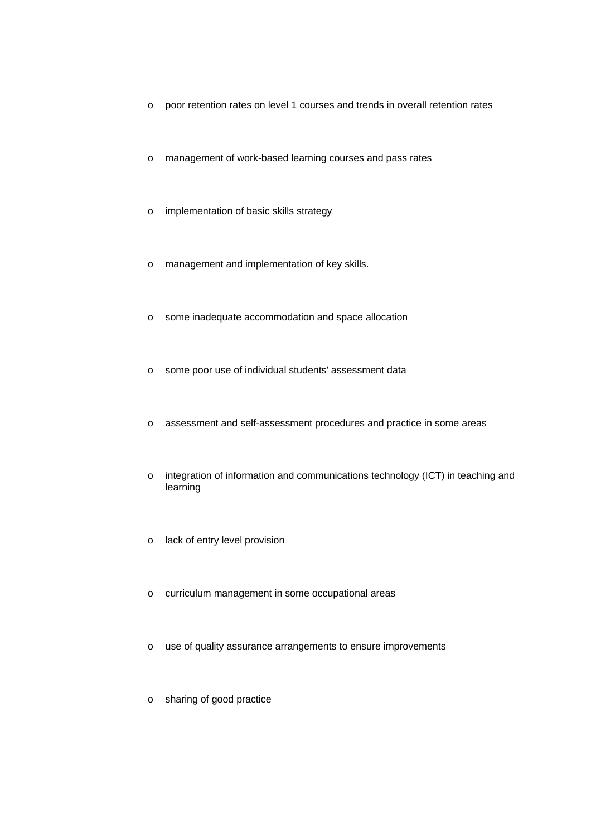- o poor retention rates on level 1 courses and trends in overall retention rates
- o management of work-based learning courses and pass rates
- o implementation of basic skills strategy
- o management and implementation of key skills.
- o some inadequate accommodation and space allocation
- o some poor use of individual students' assessment data
- o assessment and self-assessment procedures and practice in some areas
- o integration of information and communications technology (ICT) in teaching and learning
- o lack of entry level provision
- o curriculum management in some occupational areas
- o use of quality assurance arrangements to ensure improvements
- o sharing of good practice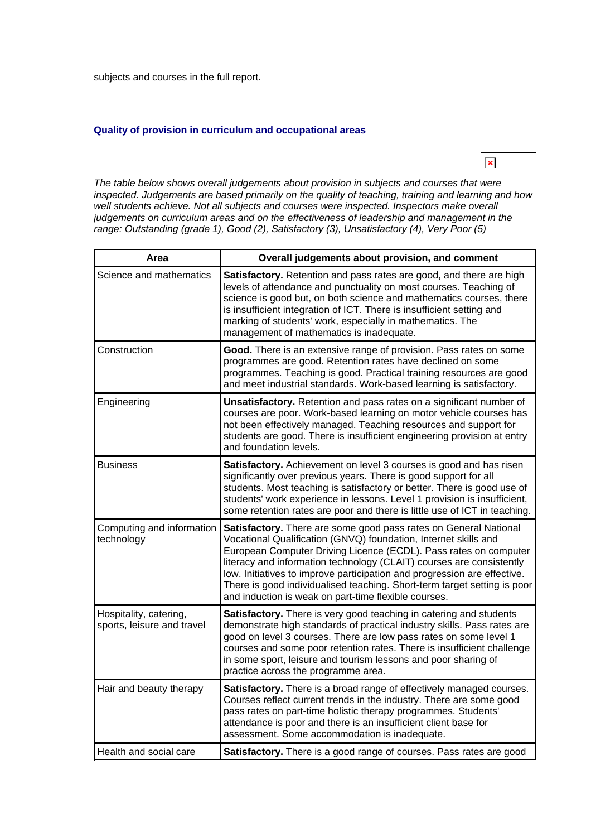<span id="page-5-0"></span>subjects and courses in the full report.

### **Quality of provision in curriculum and occupational areas**



*The table below shows overall judgements about provision in subjects and courses that were inspected. Judgements are based primarily on the quality of teaching, training and learning and how*  well students achieve. Not all subjects and courses were inspected. Inspectors make overall *judgements on curriculum areas and on the effectiveness of leadership and management in the range: Outstanding (grade 1), Good (2), Satisfactory (3), Unsatisfactory (4), Very Poor (5)*

| Area                                                 | Overall judgements about provision, and comment                                                                                                                                                                                                                                                                                                                                                                                                                                                 |
|------------------------------------------------------|-------------------------------------------------------------------------------------------------------------------------------------------------------------------------------------------------------------------------------------------------------------------------------------------------------------------------------------------------------------------------------------------------------------------------------------------------------------------------------------------------|
| Science and mathematics                              | Satisfactory. Retention and pass rates are good, and there are high<br>levels of attendance and punctuality on most courses. Teaching of<br>science is good but, on both science and mathematics courses, there<br>is insufficient integration of ICT. There is insufficient setting and<br>marking of students' work, especially in mathematics. The<br>management of mathematics is inadequate.                                                                                               |
| Construction                                         | Good. There is an extensive range of provision. Pass rates on some<br>programmes are good. Retention rates have declined on some<br>programmes. Teaching is good. Practical training resources are good<br>and meet industrial standards. Work-based learning is satisfactory.                                                                                                                                                                                                                  |
| Engineering                                          | Unsatisfactory. Retention and pass rates on a significant number of<br>courses are poor. Work-based learning on motor vehicle courses has<br>not been effectively managed. Teaching resources and support for<br>students are good. There is insufficient engineering provision at entry<br>and foundation levels.                                                                                                                                                                              |
| <b>Business</b>                                      | Satisfactory. Achievement on level 3 courses is good and has risen<br>significantly over previous years. There is good support for all<br>students. Most teaching is satisfactory or better. There is good use of<br>students' work experience in lessons. Level 1 provision is insufficient,<br>some retention rates are poor and there is little use of ICT in teaching.                                                                                                                      |
| Computing and information<br>technology              | Satisfactory. There are some good pass rates on General National<br>Vocational Qualification (GNVQ) foundation, Internet skills and<br>European Computer Driving Licence (ECDL). Pass rates on computer<br>literacy and information technology (CLAIT) courses are consistently<br>low. Initiatives to improve participation and progression are effective.<br>There is good individualised teaching. Short-term target setting is poor<br>and induction is weak on part-time flexible courses. |
| Hospitality, catering,<br>sports, leisure and travel | Satisfactory. There is very good teaching in catering and students<br>demonstrate high standards of practical industry skills. Pass rates are<br>good on level 3 courses. There are low pass rates on some level 1<br>courses and some poor retention rates. There is insufficient challenge<br>in some sport, leisure and tourism lessons and poor sharing of<br>practice across the programme area.                                                                                           |
| Hair and beauty therapy                              | Satisfactory. There is a broad range of effectively managed courses.<br>Courses reflect current trends in the industry. There are some good<br>pass rates on part-time holistic therapy programmes. Students'<br>attendance is poor and there is an insufficient client base for<br>assessment. Some accommodation is inadequate.                                                                                                                                                               |
| Health and social care                               | Satisfactory. There is a good range of courses. Pass rates are good                                                                                                                                                                                                                                                                                                                                                                                                                             |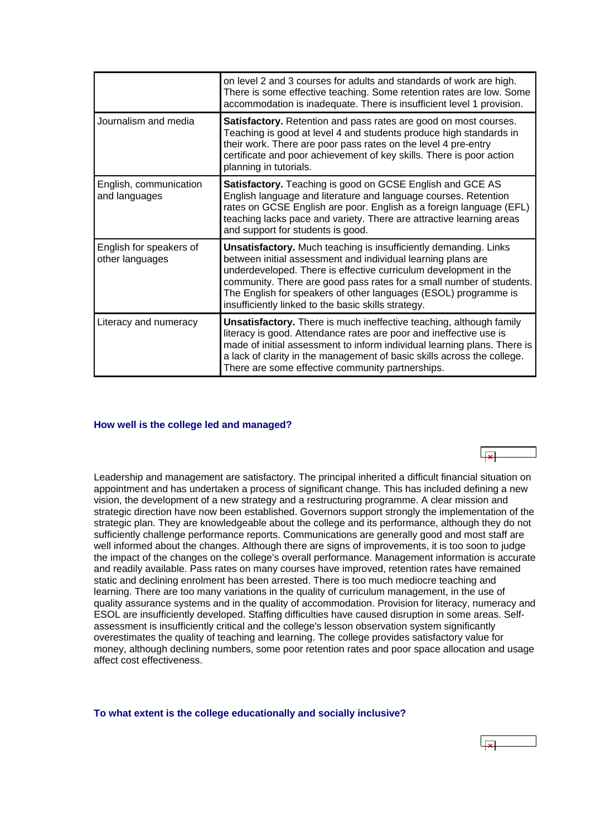<span id="page-6-0"></span>

|                                            | on level 2 and 3 courses for adults and standards of work are high.<br>There is some effective teaching. Some retention rates are low. Some<br>accommodation is inadequate. There is insufficient level 1 provision.                                                                                                                                                                                          |
|--------------------------------------------|---------------------------------------------------------------------------------------------------------------------------------------------------------------------------------------------------------------------------------------------------------------------------------------------------------------------------------------------------------------------------------------------------------------|
| Journalism and media                       | Satisfactory. Retention and pass rates are good on most courses.<br>Teaching is good at level 4 and students produce high standards in<br>their work. There are poor pass rates on the level 4 pre-entry<br>certificate and poor achievement of key skills. There is poor action<br>planning in tutorials.                                                                                                    |
| English, communication<br>and languages    | Satisfactory. Teaching is good on GCSE English and GCE AS<br>English language and literature and language courses. Retention<br>rates on GCSE English are poor. English as a foreign language (EFL)<br>teaching lacks pace and variety. There are attractive learning areas<br>and support for students is good.                                                                                              |
| English for speakers of<br>other languages | <b>Unsatisfactory.</b> Much teaching is insufficiently demanding. Links<br>between initial assessment and individual learning plans are<br>underdeveloped. There is effective curriculum development in the<br>community. There are good pass rates for a small number of students.<br>The English for speakers of other languages (ESOL) programme is<br>insufficiently linked to the basic skills strategy. |
| Literacy and numeracy                      | <b>Unsatisfactory.</b> There is much ineffective teaching, although family<br>literacy is good. Attendance rates are poor and ineffective use is<br>made of initial assessment to inform individual learning plans. There is<br>a lack of clarity in the management of basic skills across the college.<br>There are some effective community partnerships.                                                   |

#### **How well is the college led and managed?**

Leadership and management are satisfactory. The principal inherited a difficult financial situation on appointment and has undertaken a process of significant change. This has included defining a new vision, the development of a new strategy and a restructuring programme. A clear mission and strategic direction have now been established. Governors support strongly the implementation of the strategic plan. They are knowledgeable about the college and its performance, although they do not sufficiently challenge performance reports. Communications are generally good and most staff are well informed about the changes. Although there are signs of improvements, it is too soon to judge the impact of the changes on the college's overall performance. Management information is accurate and readily available. Pass rates on many courses have improved, retention rates have remained static and declining enrolment has been arrested. There is too much mediocre teaching and learning. There are too many variations in the quality of curriculum management, in the use of quality assurance systems and in the quality of accommodation. Provision for literacy, numeracy and ESOL are insufficiently developed. Staffing difficulties have caused disruption in some areas. Selfassessment is insufficiently critical and the college's lesson observation system significantly overestimates the quality of teaching and learning. The college provides satisfactory value for money, although declining numbers, some poor retention rates and poor space allocation and usage affect cost effectiveness.

#### **To what extent is the college educationally and socially inclusive?**



 $\overline{\mathbf{v}}$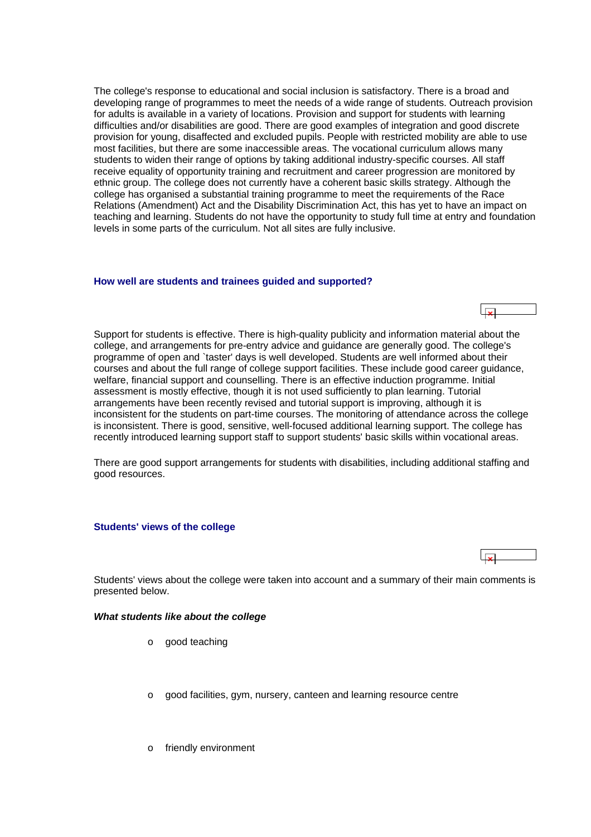<span id="page-7-0"></span>The college's response to educational and social inclusion is satisfactory. There is a broad and developing range of programmes to meet the needs of a wide range of students. Outreach provision for adults is available in a variety of locations. Provision and support for students with learning difficulties and/or disabilities are good. There are good examples of integration and good discrete provision for young, disaffected and excluded pupils. People with restricted mobility are able to use most facilities, but there are some inaccessible areas. The vocational curriculum allows many students to widen their range of options by taking additional industry-specific courses. All staff receive equality of opportunity training and recruitment and career progression are monitored by ethnic group. The college does not currently have a coherent basic skills strategy. Although the college has organised a substantial training programme to meet the requirements of the Race Relations (Amendment) Act and the Disability Discrimination Act, this has yet to have an impact on teaching and learning. Students do not have the opportunity to study full time at entry and foundation levels in some parts of the curriculum. Not all sites are fully inclusive.

#### **How well are students and trainees guided and supported?**

Support for students is effective. There is high-quality publicity and information material about the college, and arrangements for pre-entry advice and guidance are generally good. The college's programme of open and `taster' days is well developed. Students are well informed about their courses and about the full range of college support facilities. These include good career guidance, welfare, financial support and counselling. There is an effective induction programme. Initial assessment is mostly effective, though it is not used sufficiently to plan learning. Tutorial arrangements have been recently revised and tutorial support is improving, although it is inconsistent for the students on part-time courses. The monitoring of attendance across the college is inconsistent. There is good, sensitive, well-focused additional learning support. The college has recently introduced learning support staff to support students' basic skills within vocational areas.

There are good support arrangements for students with disabilities, including additional staffing and good resources.

#### **Students' views of the college**

Students' views about the college were taken into account and a summary of their main comments is presented below.

#### *What students like about the college*

- o good teaching
- o good facilities, gym, nursery, canteen and learning resource centre
- o friendly environment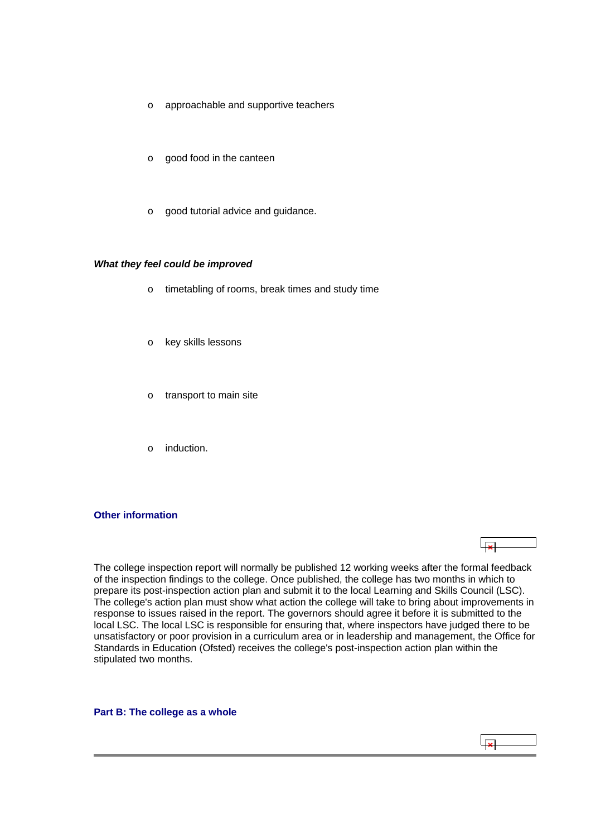- <span id="page-8-0"></span>o approachable and supportive teachers
- o good food in the canteen
- o good tutorial advice and guidance.

#### *What they feel could be improved*

- o timetabling of rooms, break times and study time
- o key skills lessons
- o transport to main site
- o induction.

#### **Other information**

The college inspection report will normally be published 12 working weeks after the formal feedback of the inspection findings to the college. Once published, the college has two months in which to prepare its post-inspection action plan and submit it to the local Learning and Skills Council (LSC). The college's action plan must show what action the college will take to bring about improvements in response to issues raised in the report. The governors should agree it before it is submitted to the local LSC. The local LSC is responsible for ensuring that, where inspectors have judged there to be unsatisfactory or poor provision in a curriculum area or in leadership and management, the Office for Standards in Education (Ofsted) receives the college's post-inspection action plan within the stipulated two months.

**Part B: The college as a whole**

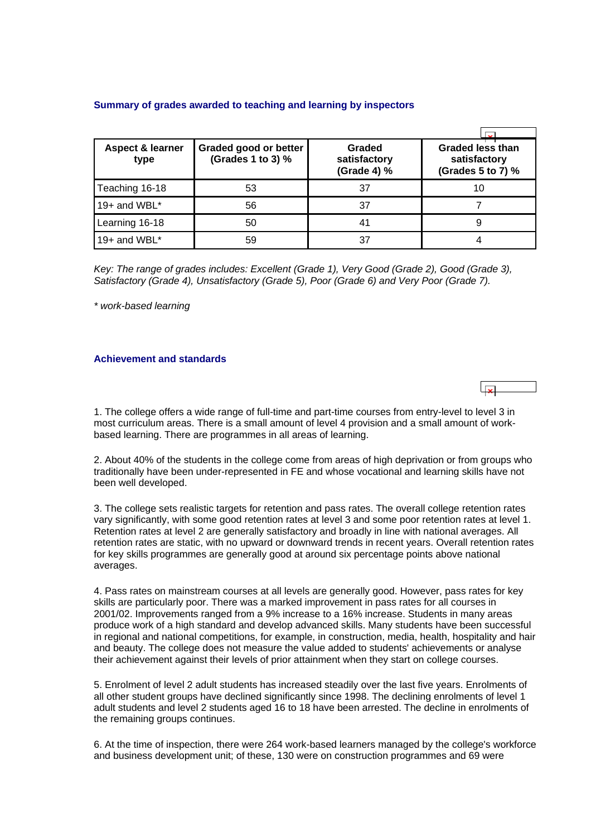# <span id="page-9-0"></span>**Summary of grades awarded to teaching and learning by inspectors**

| <b>Aspect &amp; learner</b><br>type | Graded good or better<br>(Grades 1 to 3) % | Graded<br>satisfactory<br>(Grade 4) % | <b>Graded less than</b><br>satisfactory<br>(Grades 5 to 7) % |
|-------------------------------------|--------------------------------------------|---------------------------------------|--------------------------------------------------------------|
| Teaching 16-18                      | 53                                         | 37                                    | 10                                                           |
| 19+ and WBL*                        | 56                                         | 37                                    |                                                              |
| Learning 16-18                      | 50                                         | 41                                    | 9                                                            |
| 19+ and WBL $^*$                    | 59                                         | 37                                    |                                                              |

*Key: The range of grades includes: Excellent (Grade 1), Very Good (Grade 2), Good (Grade 3), Satisfactory (Grade 4), Unsatisfactory (Grade 5), Poor (Grade 6) and Very Poor (Grade 7).*

*\* work-based learning*

# **Achievement and standards**

1. The college offers a wide range of full-time and part-time courses from entry-level to level 3 in most curriculum areas. There is a small amount of level 4 provision and a small amount of workbased learning. There are programmes in all areas of learning.

2. About 40% of the students in the college come from areas of high deprivation or from groups who traditionally have been under-represented in FE and whose vocational and learning skills have not been well developed.

3. The college sets realistic targets for retention and pass rates. The overall college retention rates vary significantly, with some good retention rates at level 3 and some poor retention rates at level 1. Retention rates at level 2 are generally satisfactory and broadly in line with national averages. All retention rates are static, with no upward or downward trends in recent years. Overall retention rates for key skills programmes are generally good at around six percentage points above national averages.

4. Pass rates on mainstream courses at all levels are generally good. However, pass rates for key skills are particularly poor. There was a marked improvement in pass rates for all courses in 2001/02. Improvements ranged from a 9% increase to a 16% increase. Students in many areas produce work of a high standard and develop advanced skills. Many students have been successful in regional and national competitions, for example, in construction, media, health, hospitality and hair and beauty. The college does not measure the value added to students' achievements or analyse their achievement against their levels of prior attainment when they start on college courses.

5. Enrolment of level 2 adult students has increased steadily over the last five years. Enrolments of all other student groups have declined significantly since 1998. The declining enrolments of level 1 adult students and level 2 students aged 16 to 18 have been arrested. The decline in enrolments of the remaining groups continues.

6. At the time of inspection, there were 264 work-based learners managed by the college's workforce and business development unit; of these, 130 were on construction programmes and 69 were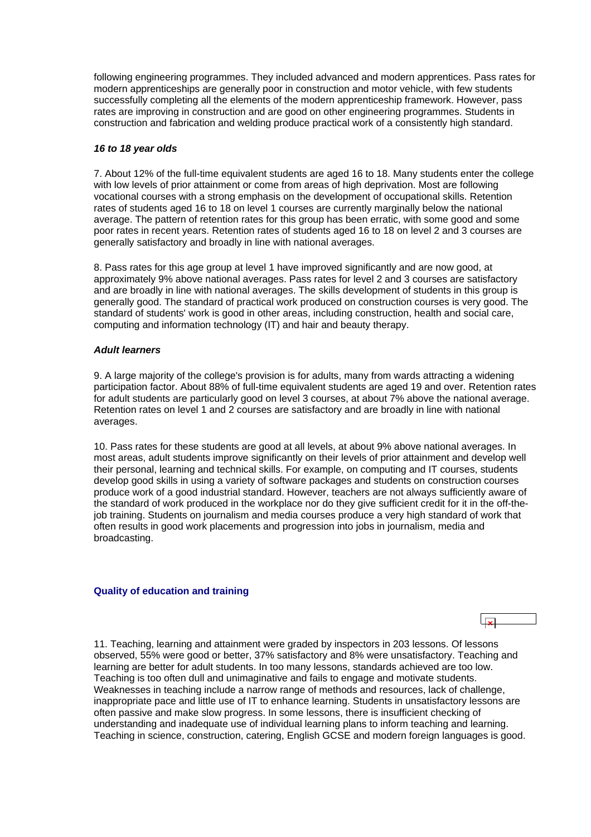<span id="page-10-0"></span>following engineering programmes. They included advanced and modern apprentices. Pass rates for modern apprenticeships are generally poor in construction and motor vehicle, with few students successfully completing all the elements of the modern apprenticeship framework. However, pass rates are improving in construction and are good on other engineering programmes. Students in construction and fabrication and welding produce practical work of a consistently high standard.

### *16 to 18 year olds*

7. About 12% of the full-time equivalent students are aged 16 to 18. Many students enter the college with low levels of prior attainment or come from areas of high deprivation. Most are following vocational courses with a strong emphasis on the development of occupational skills. Retention rates of students aged 16 to 18 on level 1 courses are currently marginally below the national average. The pattern of retention rates for this group has been erratic, with some good and some poor rates in recent years. Retention rates of students aged 16 to 18 on level 2 and 3 courses are generally satisfactory and broadly in line with national averages.

8. Pass rates for this age group at level 1 have improved significantly and are now good, at approximately 9% above national averages. Pass rates for level 2 and 3 courses are satisfactory and are broadly in line with national averages. The skills development of students in this group is generally good. The standard of practical work produced on construction courses is very good. The standard of students' work is good in other areas, including construction, health and social care, computing and information technology (IT) and hair and beauty therapy.

## *Adult learners*

9. A large majority of the college's provision is for adults, many from wards attracting a widening participation factor. About 88% of full-time equivalent students are aged 19 and over. Retention rates for adult students are particularly good on level 3 courses, at about 7% above the national average. Retention rates on level 1 and 2 courses are satisfactory and are broadly in line with national averages.

10. Pass rates for these students are good at all levels, at about 9% above national averages. In most areas, adult students improve significantly on their levels of prior attainment and develop well their personal, learning and technical skills. For example, on computing and IT courses, students develop good skills in using a variety of software packages and students on construction courses produce work of a good industrial standard. However, teachers are not always sufficiently aware of the standard of work produced in the workplace nor do they give sufficient credit for it in the off-thejob training. Students on journalism and media courses produce a very high standard of work that often results in good work placements and progression into jobs in journalism, media and broadcasting.

#### **Quality of education and training**

11. Teaching, learning and attainment were graded by inspectors in 203 lessons. Of lessons observed, 55% were good or better, 37% satisfactory and 8% were unsatisfactory. Teaching and learning are better for adult students. In too many lessons, standards achieved are too low. Teaching is too often dull and unimaginative and fails to engage and motivate students. Weaknesses in teaching include a narrow range of methods and resources, lack of challenge, inappropriate pace and little use of IT to enhance learning. Students in unsatisfactory lessons are often passive and make slow progress. In some lessons, there is insufficient checking of understanding and inadequate use of individual learning plans to inform teaching and learning. Teaching in science, construction, catering, English GCSE and modern foreign languages is good.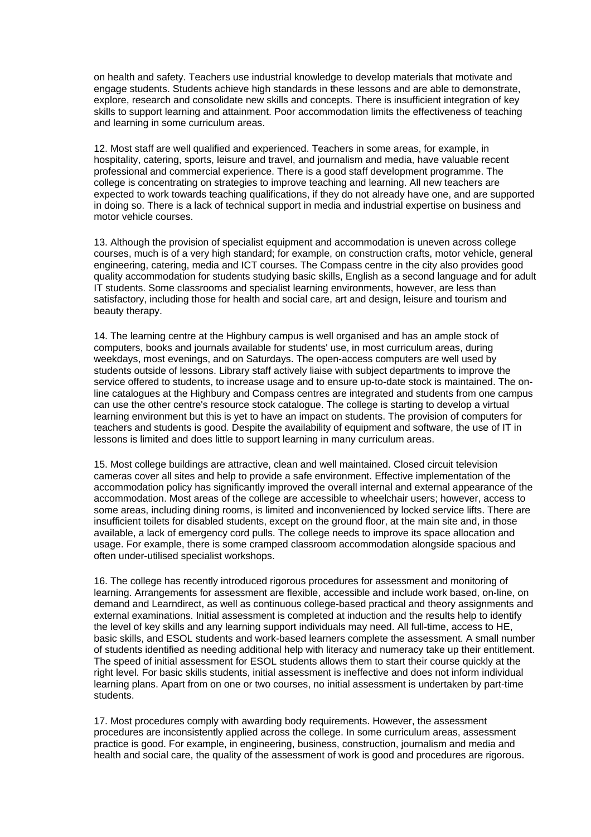on health and safety. Teachers use industrial knowledge to develop materials that motivate and engage students. Students achieve high standards in these lessons and are able to demonstrate, explore, research and consolidate new skills and concepts. There is insufficient integration of key skills to support learning and attainment. Poor accommodation limits the effectiveness of teaching and learning in some curriculum areas.

12. Most staff are well qualified and experienced. Teachers in some areas, for example, in hospitality, catering, sports, leisure and travel, and journalism and media, have valuable recent professional and commercial experience. There is a good staff development programme. The college is concentrating on strategies to improve teaching and learning. All new teachers are expected to work towards teaching qualifications, if they do not already have one, and are supported in doing so. There is a lack of technical support in media and industrial expertise on business and motor vehicle courses.

13. Although the provision of specialist equipment and accommodation is uneven across college courses, much is of a very high standard; for example, on construction crafts, motor vehicle, general engineering, catering, media and ICT courses. The Compass centre in the city also provides good quality accommodation for students studying basic skills, English as a second language and for adult IT students. Some classrooms and specialist learning environments, however, are less than satisfactory, including those for health and social care, art and design, leisure and tourism and beauty therapy.

14. The learning centre at the Highbury campus is well organised and has an ample stock of computers, books and journals available for students' use, in most curriculum areas, during weekdays, most evenings, and on Saturdays. The open-access computers are well used by students outside of lessons. Library staff actively liaise with subject departments to improve the service offered to students, to increase usage and to ensure up-to-date stock is maintained. The online catalogues at the Highbury and Compass centres are integrated and students from one campus can use the other centre's resource stock catalogue. The college is starting to develop a virtual learning environment but this is yet to have an impact on students. The provision of computers for teachers and students is good. Despite the availability of equipment and software, the use of IT in lessons is limited and does little to support learning in many curriculum areas.

15. Most college buildings are attractive, clean and well maintained. Closed circuit television cameras cover all sites and help to provide a safe environment. Effective implementation of the accommodation policy has significantly improved the overall internal and external appearance of the accommodation. Most areas of the college are accessible to wheelchair users; however, access to some areas, including dining rooms, is limited and inconvenienced by locked service lifts. There are insufficient toilets for disabled students, except on the ground floor, at the main site and, in those available, a lack of emergency cord pulls. The college needs to improve its space allocation and usage. For example, there is some cramped classroom accommodation alongside spacious and often under-utilised specialist workshops.

16. The college has recently introduced rigorous procedures for assessment and monitoring of learning. Arrangements for assessment are flexible, accessible and include work based, on-line, on demand and Learndirect, as well as continuous college-based practical and theory assignments and external examinations. Initial assessment is completed at induction and the results help to identify the level of key skills and any learning support individuals may need. All full-time, access to HE, basic skills, and ESOL students and work-based learners complete the assessment. A small number of students identified as needing additional help with literacy and numeracy take up their entitlement. The speed of initial assessment for ESOL students allows them to start their course quickly at the right level. For basic skills students, initial assessment is ineffective and does not inform individual learning plans. Apart from on one or two courses, no initial assessment is undertaken by part-time students.

17. Most procedures comply with awarding body requirements. However, the assessment procedures are inconsistently applied across the college. In some curriculum areas, assessment practice is good. For example, in engineering, business, construction, journalism and media and health and social care, the quality of the assessment of work is good and procedures are rigorous.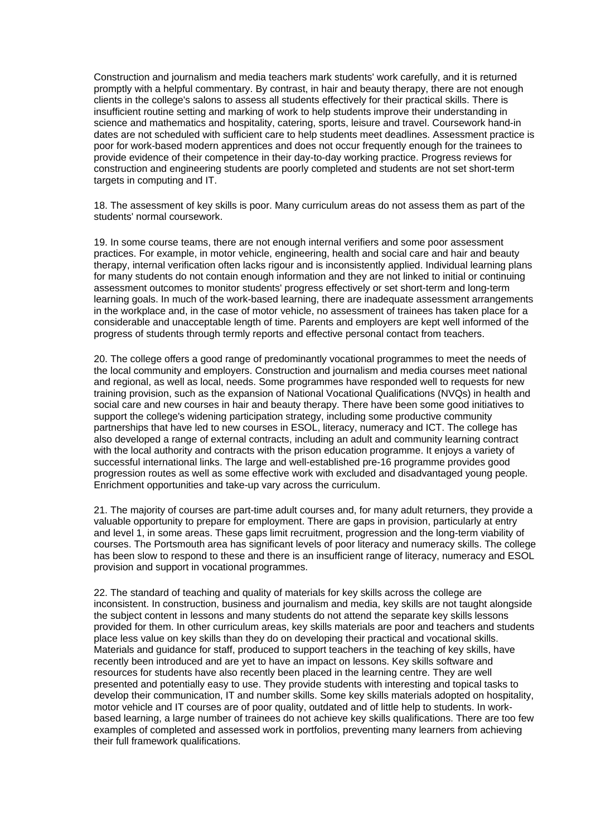Construction and journalism and media teachers mark students' work carefully, and it is returned promptly with a helpful commentary. By contrast, in hair and beauty therapy, there are not enough clients in the college's salons to assess all students effectively for their practical skills. There is insufficient routine setting and marking of work to help students improve their understanding in science and mathematics and hospitality, catering, sports, leisure and travel. Coursework hand-in dates are not scheduled with sufficient care to help students meet deadlines. Assessment practice is poor for work-based modern apprentices and does not occur frequently enough for the trainees to provide evidence of their competence in their day-to-day working practice. Progress reviews for construction and engineering students are poorly completed and students are not set short-term targets in computing and IT.

18. The assessment of key skills is poor. Many curriculum areas do not assess them as part of the students' normal coursework.

19. In some course teams, there are not enough internal verifiers and some poor assessment practices. For example, in motor vehicle, engineering, health and social care and hair and beauty therapy, internal verification often lacks rigour and is inconsistently applied. Individual learning plans for many students do not contain enough information and they are not linked to initial or continuing assessment outcomes to monitor students' progress effectively or set short-term and long-term learning goals. In much of the work-based learning, there are inadequate assessment arrangements in the workplace and, in the case of motor vehicle, no assessment of trainees has taken place for a considerable and unacceptable length of time. Parents and employers are kept well informed of the progress of students through termly reports and effective personal contact from teachers.

20. The college offers a good range of predominantly vocational programmes to meet the needs of the local community and employers. Construction and journalism and media courses meet national and regional, as well as local, needs. Some programmes have responded well to requests for new training provision, such as the expansion of National Vocational Qualifications (NVQs) in health and social care and new courses in hair and beauty therapy. There have been some good initiatives to support the college's widening participation strategy, including some productive community partnerships that have led to new courses in ESOL, literacy, numeracy and ICT. The college has also developed a range of external contracts, including an adult and community learning contract with the local authority and contracts with the prison education programme. It enjoys a variety of successful international links. The large and well-established pre-16 programme provides good progression routes as well as some effective work with excluded and disadvantaged young people. Enrichment opportunities and take-up vary across the curriculum.

21. The majority of courses are part-time adult courses and, for many adult returners, they provide a valuable opportunity to prepare for employment. There are gaps in provision, particularly at entry and level 1, in some areas. These gaps limit recruitment, progression and the long-term viability of courses. The Portsmouth area has significant levels of poor literacy and numeracy skills. The college has been slow to respond to these and there is an insufficient range of literacy, numeracy and ESOL provision and support in vocational programmes.

22. The standard of teaching and quality of materials for key skills across the college are inconsistent. In construction, business and journalism and media, key skills are not taught alongside the subject content in lessons and many students do not attend the separate key skills lessons provided for them. In other curriculum areas, key skills materials are poor and teachers and students place less value on key skills than they do on developing their practical and vocational skills. Materials and guidance for staff, produced to support teachers in the teaching of key skills, have recently been introduced and are yet to have an impact on lessons. Key skills software and resources for students have also recently been placed in the learning centre. They are well presented and potentially easy to use. They provide students with interesting and topical tasks to develop their communication, IT and number skills. Some key skills materials adopted on hospitality, motor vehicle and IT courses are of poor quality, outdated and of little help to students. In workbased learning, a large number of trainees do not achieve key skills qualifications. There are too few examples of completed and assessed work in portfolios, preventing many learners from achieving their full framework qualifications.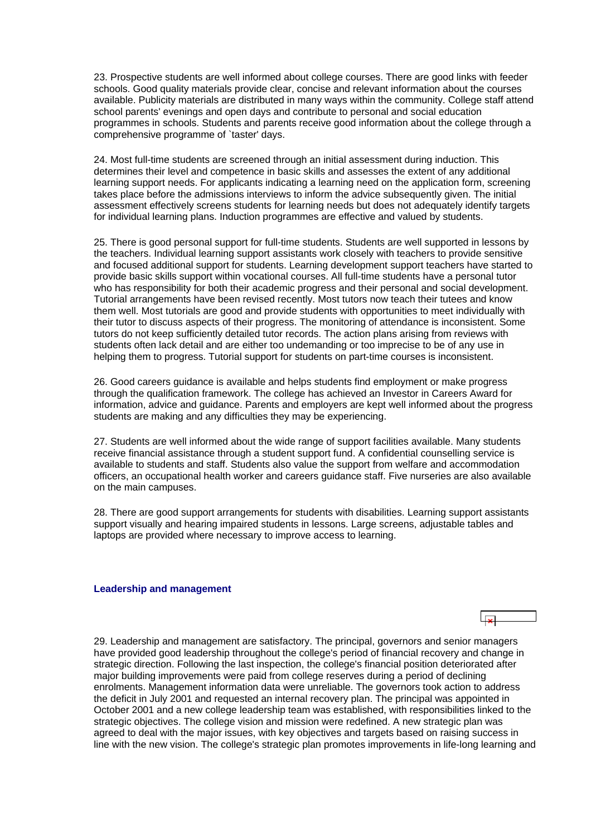<span id="page-13-0"></span>23. Prospective students are well informed about college courses. There are good links with feeder schools. Good quality materials provide clear, concise and relevant information about the courses available. Publicity materials are distributed in many ways within the community. College staff attend school parents' evenings and open days and contribute to personal and social education programmes in schools. Students and parents receive good information about the college through a comprehensive programme of `taster' days.

24. Most full-time students are screened through an initial assessment during induction. This determines their level and competence in basic skills and assesses the extent of any additional learning support needs. For applicants indicating a learning need on the application form, screening takes place before the admissions interviews to inform the advice subsequently given. The initial assessment effectively screens students for learning needs but does not adequately identify targets for individual learning plans. Induction programmes are effective and valued by students.

25. There is good personal support for full-time students. Students are well supported in lessons by the teachers. Individual learning support assistants work closely with teachers to provide sensitive and focused additional support for students. Learning development support teachers have started to provide basic skills support within vocational courses. All full-time students have a personal tutor who has responsibility for both their academic progress and their personal and social development. Tutorial arrangements have been revised recently. Most tutors now teach their tutees and know them well. Most tutorials are good and provide students with opportunities to meet individually with their tutor to discuss aspects of their progress. The monitoring of attendance is inconsistent. Some tutors do not keep sufficiently detailed tutor records. The action plans arising from reviews with students often lack detail and are either too undemanding or too imprecise to be of any use in helping them to progress. Tutorial support for students on part-time courses is inconsistent.

26. Good careers guidance is available and helps students find employment or make progress through the qualification framework. The college has achieved an Investor in Careers Award for information, advice and guidance. Parents and employers are kept well informed about the progress students are making and any difficulties they may be experiencing.

27. Students are well informed about the wide range of support facilities available. Many students receive financial assistance through a student support fund. A confidential counselling service is available to students and staff. Students also value the support from welfare and accommodation officers, an occupational health worker and careers guidance staff. Five nurseries are also available on the main campuses.

28. There are good support arrangements for students with disabilities. Learning support assistants support visually and hearing impaired students in lessons. Large screens, adjustable tables and laptops are provided where necessary to improve access to learning.

#### **Leadership and management**

| 29. Leadership and management are satisfactory. The principal, governors and senior managers            |
|---------------------------------------------------------------------------------------------------------|
| have provided good leadership throughout the college's period of financial recovery and change in       |
| strategic direction. Following the last inspection, the college's financial position deteriorated after |
| major building improvements were paid from college reserves during a period of declining                |
| enrolments. Management information data were unreliable. The governors took action to address           |
| the deficit in July 2001 and requested an internal recovery plan. The principal was appointed in        |
| October 2001 and a new college leadership team was established, with responsibilities linked to the     |
| strategic objectives. The college vision and mission were redefined. A new strategic plan was           |
| agreed to deal with the major issues, with key objectives and targets based on raising success in       |
| line with the new vision. The college's strategic plan promotes improvements in life-long learning and  |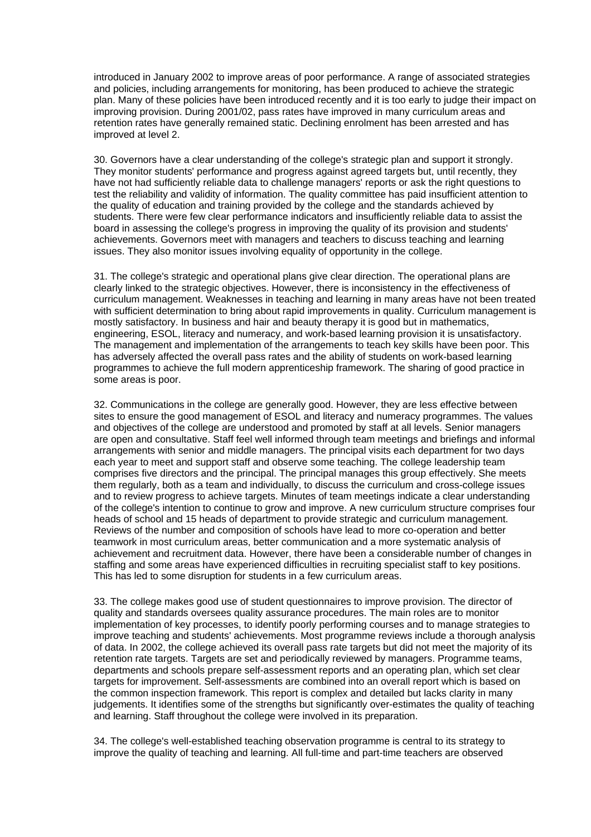introduced in January 2002 to improve areas of poor performance. A range of associated strategies and policies, including arrangements for monitoring, has been produced to achieve the strategic plan. Many of these policies have been introduced recently and it is too early to judge their impact on improving provision. During 2001/02, pass rates have improved in many curriculum areas and retention rates have generally remained static. Declining enrolment has been arrested and has improved at level 2.

30. Governors have a clear understanding of the college's strategic plan and support it strongly. They monitor students' performance and progress against agreed targets but, until recently, they have not had sufficiently reliable data to challenge managers' reports or ask the right questions to test the reliability and validity of information. The quality committee has paid insufficient attention to the quality of education and training provided by the college and the standards achieved by students. There were few clear performance indicators and insufficiently reliable data to assist the board in assessing the college's progress in improving the quality of its provision and students' achievements. Governors meet with managers and teachers to discuss teaching and learning issues. They also monitor issues involving equality of opportunity in the college.

31. The college's strategic and operational plans give clear direction. The operational plans are clearly linked to the strategic objectives. However, there is inconsistency in the effectiveness of curriculum management. Weaknesses in teaching and learning in many areas have not been treated with sufficient determination to bring about rapid improvements in quality. Curriculum management is mostly satisfactory. In business and hair and beauty therapy it is good but in mathematics, engineering, ESOL, literacy and numeracy, and work-based learning provision it is unsatisfactory. The management and implementation of the arrangements to teach key skills have been poor. This has adversely affected the overall pass rates and the ability of students on work-based learning programmes to achieve the full modern apprenticeship framework. The sharing of good practice in some areas is poor.

32. Communications in the college are generally good. However, they are less effective between sites to ensure the good management of ESOL and literacy and numeracy programmes. The values and objectives of the college are understood and promoted by staff at all levels. Senior managers are open and consultative. Staff feel well informed through team meetings and briefings and informal arrangements with senior and middle managers. The principal visits each department for two days each year to meet and support staff and observe some teaching. The college leadership team comprises five directors and the principal. The principal manages this group effectively. She meets them regularly, both as a team and individually, to discuss the curriculum and cross-college issues and to review progress to achieve targets. Minutes of team meetings indicate a clear understanding of the college's intention to continue to grow and improve. A new curriculum structure comprises four heads of school and 15 heads of department to provide strategic and curriculum management. Reviews of the number and composition of schools have lead to more co-operation and better teamwork in most curriculum areas, better communication and a more systematic analysis of achievement and recruitment data. However, there have been a considerable number of changes in staffing and some areas have experienced difficulties in recruiting specialist staff to key positions. This has led to some disruption for students in a few curriculum areas.

33. The college makes good use of student questionnaires to improve provision. The director of quality and standards oversees quality assurance procedures. The main roles are to monitor implementation of key processes, to identify poorly performing courses and to manage strategies to improve teaching and students' achievements. Most programme reviews include a thorough analysis of data. In 2002, the college achieved its overall pass rate targets but did not meet the majority of its retention rate targets. Targets are set and periodically reviewed by managers. Programme teams, departments and schools prepare self-assessment reports and an operating plan, which set clear targets for improvement. Self-assessments are combined into an overall report which is based on the common inspection framework. This report is complex and detailed but lacks clarity in many judgements. It identifies some of the strengths but significantly over-estimates the quality of teaching and learning. Staff throughout the college were involved in its preparation.

34. The college's well-established teaching observation programme is central to its strategy to improve the quality of teaching and learning. All full-time and part-time teachers are observed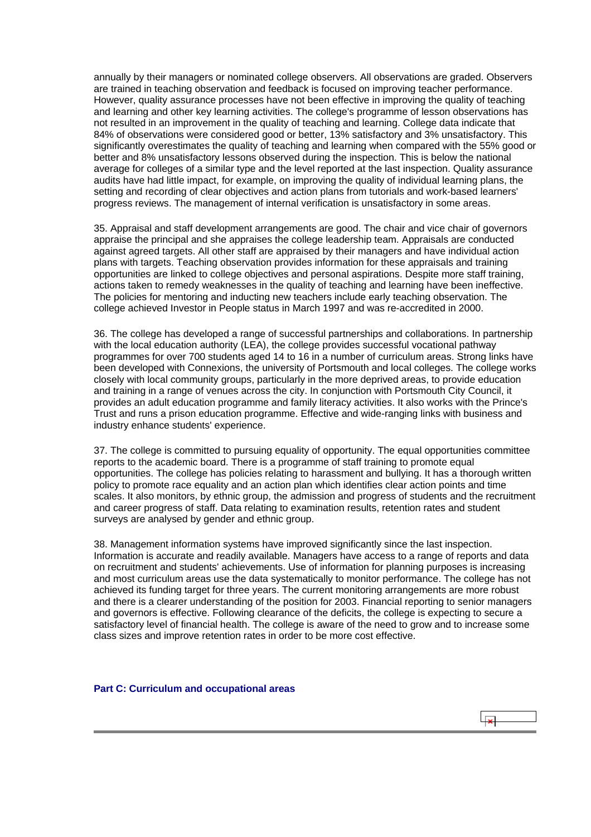<span id="page-15-0"></span>annually by their managers or nominated college observers. All observations are graded. Observers are trained in teaching observation and feedback is focused on improving teacher performance. However, quality assurance processes have not been effective in improving the quality of teaching and learning and other key learning activities. The college's programme of lesson observations has not resulted in an improvement in the quality of teaching and learning. College data indicate that 84% of observations were considered good or better, 13% satisfactory and 3% unsatisfactory. This significantly overestimates the quality of teaching and learning when compared with the 55% good or better and 8% unsatisfactory lessons observed during the inspection. This is below the national average for colleges of a similar type and the level reported at the last inspection. Quality assurance audits have had little impact, for example, on improving the quality of individual learning plans, the setting and recording of clear objectives and action plans from tutorials and work-based learners' progress reviews. The management of internal verification is unsatisfactory in some areas.

35. Appraisal and staff development arrangements are good. The chair and vice chair of governors appraise the principal and she appraises the college leadership team. Appraisals are conducted against agreed targets. All other staff are appraised by their managers and have individual action plans with targets. Teaching observation provides information for these appraisals and training opportunities are linked to college objectives and personal aspirations. Despite more staff training, actions taken to remedy weaknesses in the quality of teaching and learning have been ineffective. The policies for mentoring and inducting new teachers include early teaching observation. The college achieved Investor in People status in March 1997 and was re-accredited in 2000.

36. The college has developed a range of successful partnerships and collaborations. In partnership with the local education authority (LEA), the college provides successful vocational pathway programmes for over 700 students aged 14 to 16 in a number of curriculum areas. Strong links have been developed with Connexions, the university of Portsmouth and local colleges. The college works closely with local community groups, particularly in the more deprived areas, to provide education and training in a range of venues across the city. In conjunction with Portsmouth City Council, it provides an adult education programme and family literacy activities. It also works with the Prince's Trust and runs a prison education programme. Effective and wide-ranging links with business and industry enhance students' experience.

37. The college is committed to pursuing equality of opportunity. The equal opportunities committee reports to the academic board. There is a programme of staff training to promote equal opportunities. The college has policies relating to harassment and bullying. It has a thorough written policy to promote race equality and an action plan which identifies clear action points and time scales. It also monitors, by ethnic group, the admission and progress of students and the recruitment and career progress of staff. Data relating to examination results, retention rates and student surveys are analysed by gender and ethnic group.

38. Management information systems have improved significantly since the last inspection. Information is accurate and readily available. Managers have access to a range of reports and data on recruitment and students' achievements. Use of information for planning purposes is increasing and most curriculum areas use the data systematically to monitor performance. The college has not achieved its funding target for three years. The current monitoring arrangements are more robust and there is a clearer understanding of the position for 2003. Financial reporting to senior managers and governors is effective. Following clearance of the deficits, the college is expecting to secure a satisfactory level of financial health. The college is aware of the need to grow and to increase some class sizes and improve retention rates in order to be more cost effective.

**Part C: Curriculum and occupational areas**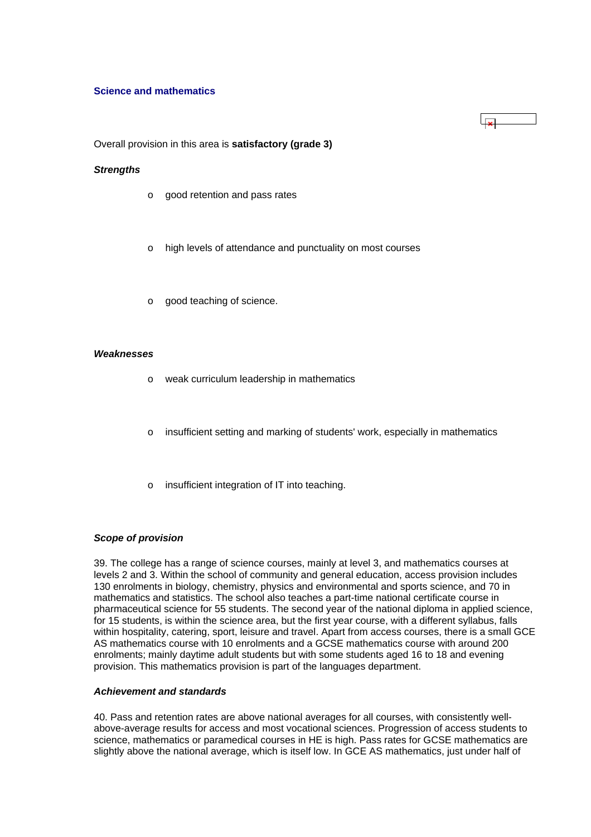#### **Science and mathematics**

Overall provision in this area is **satisfactory (grade 3)**

#### *Strengths*

- o good retention and pass rates
- o high levels of attendance and punctuality on most courses
- o good teaching of science.

#### *Weaknesses*

- o weak curriculum leadership in mathematics
- o insufficient setting and marking of students' work, especially in mathematics
- o insufficient integration of IT into teaching.

#### *Scope of provision*

39. The college has a range of science courses, mainly at level 3, and mathematics courses at levels 2 and 3. Within the school of community and general education, access provision includes 130 enrolments in biology, chemistry, physics and environmental and sports science, and 70 in mathematics and statistics. The school also teaches a part-time national certificate course in pharmaceutical science for 55 students. The second year of the national diploma in applied science, for 15 students, is within the science area, but the first year course, with a different syllabus, falls within hospitality, catering, sport, leisure and travel. Apart from access courses, there is a small GCE AS mathematics course with 10 enrolments and a GCSE mathematics course with around 200 enrolments; mainly daytime adult students but with some students aged 16 to 18 and evening provision. This mathematics provision is part of the languages department.

#### *Achievement and standards*

40. Pass and retention rates are above national averages for all courses, with consistently wellabove-average results for access and most vocational sciences. Progression of access students to science, mathematics or paramedical courses in HE is high. Pass rates for GCSE mathematics are slightly above the national average, which is itself low. In GCE AS mathematics, just under half of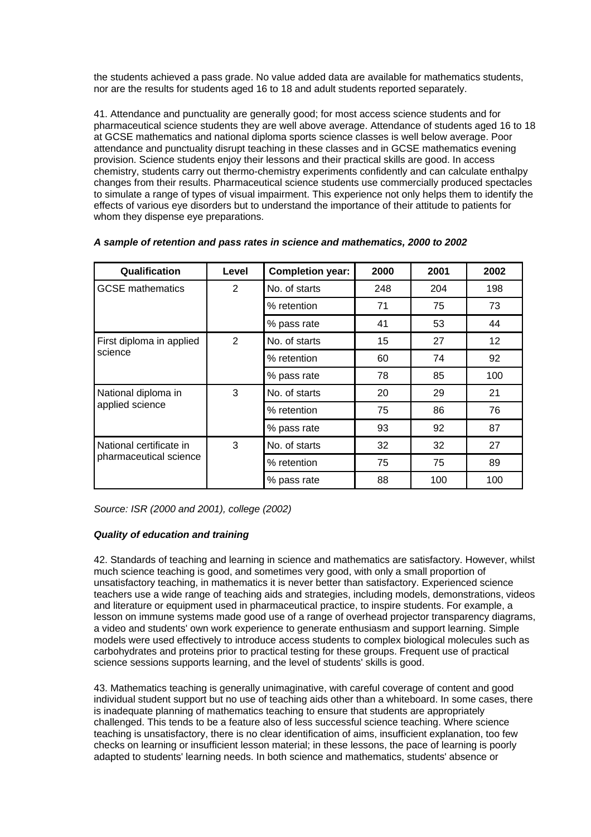the students achieved a pass grade. No value added data are available for mathematics students, nor are the results for students aged 16 to 18 and adult students reported separately.

41. Attendance and punctuality are generally good; for most access science students and for pharmaceutical science students they are well above average. Attendance of students aged 16 to 18 at GCSE mathematics and national diploma sports science classes is well below average. Poor attendance and punctuality disrupt teaching in these classes and in GCSE mathematics evening provision. Science students enjoy their lessons and their practical skills are good. In access chemistry, students carry out thermo-chemistry experiments confidently and can calculate enthalpy changes from their results. Pharmaceutical science students use commercially produced spectacles to simulate a range of types of visual impairment. This experience not only helps them to identify the effects of various eye disorders but to understand the importance of their attitude to patients for whom they dispense eye preparations.

| Qualification                                     | Level          | <b>Completion year:</b> | 2000 | 2001 | 2002 |
|---------------------------------------------------|----------------|-------------------------|------|------|------|
| <b>GCSE</b> mathematics                           | 2              | No. of starts           | 248  | 204  | 198  |
|                                                   |                | % retention             | 71   | 75   | 73   |
|                                                   |                | % pass rate             | 41   | 53   | 44   |
| First diploma in applied                          | $\overline{2}$ | No. of starts           | 15   | 27   | 12   |
| science                                           |                | % retention             | 60   | 74   | 92   |
|                                                   |                | % pass rate             | 78   | 85   | 100  |
| National diploma in                               | 3              | No. of starts           | 20   | 29   | 21   |
| applied science                                   |                | % retention             | 75   | 86   | 76   |
|                                                   |                | % pass rate             | 93   | 92   | 87   |
| National certificate in<br>pharmaceutical science | 3              | No. of starts           | 32   | 32   | 27   |
|                                                   |                | % retention             | 75   | 75   | 89   |
|                                                   |                | % pass rate             | 88   | 100  | 100  |

## *A sample of retention and pass rates in science and mathematics, 2000 to 2002*

*Source: ISR (2000 and 2001), college (2002)*

# *Quality of education and training*

42. Standards of teaching and learning in science and mathematics are satisfactory. However, whilst much science teaching is good, and sometimes very good, with only a small proportion of unsatisfactory teaching, in mathematics it is never better than satisfactory. Experienced science teachers use a wide range of teaching aids and strategies, including models, demonstrations, videos and literature or equipment used in pharmaceutical practice, to inspire students. For example, a lesson on immune systems made good use of a range of overhead projector transparency diagrams, a video and students' own work experience to generate enthusiasm and support learning. Simple models were used effectively to introduce access students to complex biological molecules such as carbohydrates and proteins prior to practical testing for these groups. Frequent use of practical science sessions supports learning, and the level of students' skills is good.

43. Mathematics teaching is generally unimaginative, with careful coverage of content and good individual student support but no use of teaching aids other than a whiteboard. In some cases, there is inadequate planning of mathematics teaching to ensure that students are appropriately challenged. This tends to be a feature also of less successful science teaching. Where science teaching is unsatisfactory, there is no clear identification of aims, insufficient explanation, too few checks on learning or insufficient lesson material; in these lessons, the pace of learning is poorly adapted to students' learning needs. In both science and mathematics, students' absence or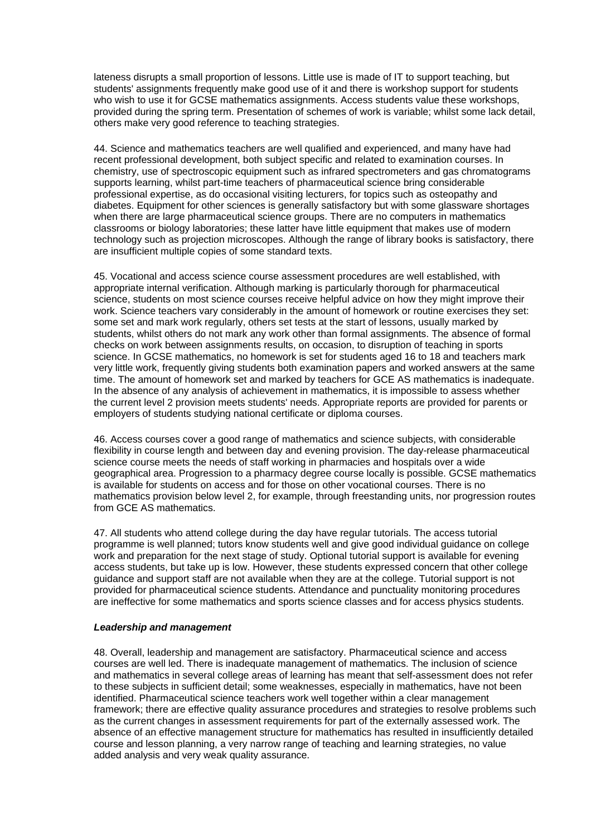lateness disrupts a small proportion of lessons. Little use is made of IT to support teaching, but students' assignments frequently make good use of it and there is workshop support for students who wish to use it for GCSE mathematics assignments. Access students value these workshops, provided during the spring term. Presentation of schemes of work is variable; whilst some lack detail, others make very good reference to teaching strategies.

44. Science and mathematics teachers are well qualified and experienced, and many have had recent professional development, both subject specific and related to examination courses. In chemistry, use of spectroscopic equipment such as infrared spectrometers and gas chromatograms supports learning, whilst part-time teachers of pharmaceutical science bring considerable professional expertise, as do occasional visiting lecturers, for topics such as osteopathy and diabetes. Equipment for other sciences is generally satisfactory but with some glassware shortages when there are large pharmaceutical science groups. There are no computers in mathematics classrooms or biology laboratories; these latter have little equipment that makes use of modern technology such as projection microscopes. Although the range of library books is satisfactory, there are insufficient multiple copies of some standard texts.

45. Vocational and access science course assessment procedures are well established, with appropriate internal verification. Although marking is particularly thorough for pharmaceutical science, students on most science courses receive helpful advice on how they might improve their work. Science teachers vary considerably in the amount of homework or routine exercises they set: some set and mark work regularly, others set tests at the start of lessons, usually marked by students, whilst others do not mark any work other than formal assignments. The absence of formal checks on work between assignments results, on occasion, to disruption of teaching in sports science. In GCSE mathematics, no homework is set for students aged 16 to 18 and teachers mark very little work, frequently giving students both examination papers and worked answers at the same time. The amount of homework set and marked by teachers for GCE AS mathematics is inadequate. In the absence of any analysis of achievement in mathematics, it is impossible to assess whether the current level 2 provision meets students' needs. Appropriate reports are provided for parents or employers of students studying national certificate or diploma courses.

46. Access courses cover a good range of mathematics and science subjects, with considerable flexibility in course length and between day and evening provision. The day-release pharmaceutical science course meets the needs of staff working in pharmacies and hospitals over a wide geographical area. Progression to a pharmacy degree course locally is possible. GCSE mathematics is available for students on access and for those on other vocational courses. There is no mathematics provision below level 2, for example, through freestanding units, nor progression routes from GCE AS mathematics.

47. All students who attend college during the day have regular tutorials. The access tutorial programme is well planned; tutors know students well and give good individual guidance on college work and preparation for the next stage of study. Optional tutorial support is available for evening access students, but take up is low. However, these students expressed concern that other college guidance and support staff are not available when they are at the college. Tutorial support is not provided for pharmaceutical science students. Attendance and punctuality monitoring procedures are ineffective for some mathematics and sports science classes and for access physics students.

#### *Leadership and management*

48. Overall, leadership and management are satisfactory. Pharmaceutical science and access courses are well led. There is inadequate management of mathematics. The inclusion of science and mathematics in several college areas of learning has meant that self-assessment does not refer to these subjects in sufficient detail; some weaknesses, especially in mathematics, have not been identified. Pharmaceutical science teachers work well together within a clear management framework; there are effective quality assurance procedures and strategies to resolve problems such as the current changes in assessment requirements for part of the externally assessed work. The absence of an effective management structure for mathematics has resulted in insufficiently detailed course and lesson planning, a very narrow range of teaching and learning strategies, no value added analysis and very weak quality assurance.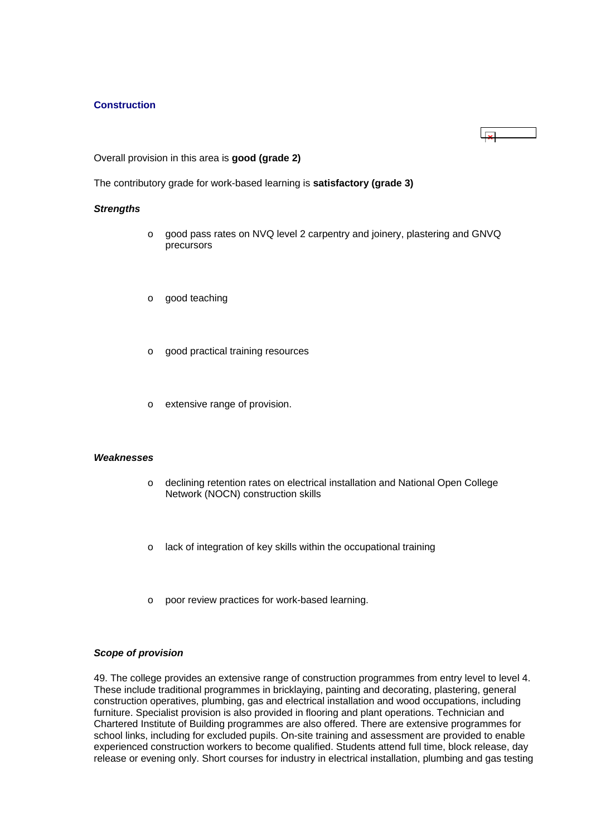### <span id="page-19-0"></span>**Construction**

### Overall provision in this area is **good (grade 2)**

The contributory grade for work-based learning is **satisfactory (grade 3)**

#### *Strengths*

o good pass rates on NVQ level 2 carpentry and joinery, plastering and GNVQ precursors

 $\overline{1}$ 

- o good teaching
- o good practical training resources
- o extensive range of provision.

#### *Weaknesses*

- o declining retention rates on electrical installation and National Open College Network (NOCN) construction skills
- o lack of integration of key skills within the occupational training
- o poor review practices for work-based learning.

#### *Scope of provision*

49. The college provides an extensive range of construction programmes from entry level to level 4. These include traditional programmes in bricklaying, painting and decorating, plastering, general construction operatives, plumbing, gas and electrical installation and wood occupations, including furniture. Specialist provision is also provided in flooring and plant operations. Technician and Chartered Institute of Building programmes are also offered. There are extensive programmes for school links, including for excluded pupils. On-site training and assessment are provided to enable experienced construction workers to become qualified. Students attend full time, block release, day release or evening only. Short courses for industry in electrical installation, plumbing and gas testing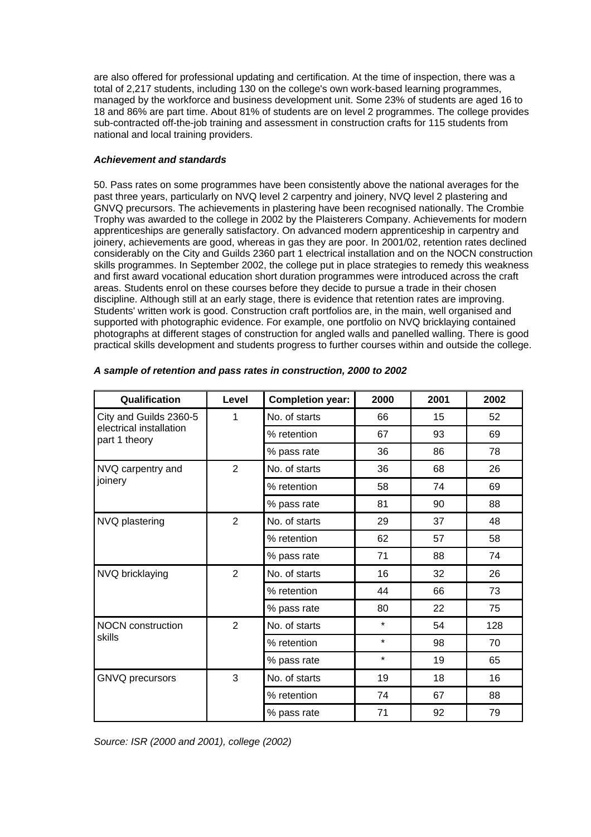are also offered for professional updating and certification. At the time of inspection, there was a total of 2,217 students, including 130 on the college's own work-based learning programmes, managed by the workforce and business development unit. Some 23% of students are aged 16 to 18 and 86% are part time. About 81% of students are on level 2 programmes. The college provides sub-contracted off-the-job training and assessment in construction crafts for 115 students from national and local training providers.

# *Achievement and standards*

50. Pass rates on some programmes have been consistently above the national averages for the past three years, particularly on NVQ level 2 carpentry and joinery, NVQ level 2 plastering and GNVQ precursors. The achievements in plastering have been recognised nationally. The Crombie Trophy was awarded to the college in 2002 by the Plaisterers Company. Achievements for modern apprenticeships are generally satisfactory. On advanced modern apprenticeship in carpentry and joinery, achievements are good, whereas in gas they are poor. In 2001/02, retention rates declined considerably on the City and Guilds 2360 part 1 electrical installation and on the NOCN construction skills programmes. In September 2002, the college put in place strategies to remedy this weakness and first award vocational education short duration programmes were introduced across the craft areas. Students enrol on these courses before they decide to pursue a trade in their chosen discipline. Although still at an early stage, there is evidence that retention rates are improving. Students' written work is good. Construction craft portfolios are, in the main, well organised and supported with photographic evidence. For example, one portfolio on NVQ bricklaying contained photographs at different stages of construction for angled walls and panelled walling. There is good practical skills development and students progress to further courses within and outside the college.

| Qualification                            | Level          | <b>Completion year:</b> | 2000    | 2001 | 2002 |
|------------------------------------------|----------------|-------------------------|---------|------|------|
| City and Guilds 2360-5                   | 1              | No. of starts           | 66      | 15   | 52   |
| electrical installation<br>part 1 theory |                | % retention             | 67      | 93   | 69   |
|                                          |                | % pass rate             | 36      | 86   | 78   |
| NVQ carpentry and                        | $\overline{2}$ | No. of starts           | 36      | 68   | 26   |
| joinery                                  |                | % retention             | 58      | 74   | 69   |
|                                          |                | % pass rate             | 81      | 90   | 88   |
| NVQ plastering                           | $\overline{2}$ | No. of starts           | 29      | 37   | 48   |
|                                          |                | % retention             | 62      | 57   | 58   |
|                                          |                | % pass rate             | 71      | 88   | 74   |
| NVQ bricklaying                          | $\overline{2}$ | No. of starts           | 16      | 32   | 26   |
|                                          |                | % retention             | 44      | 66   | 73   |
|                                          |                | % pass rate             | 80      | 22   | 75   |
| <b>NOCN</b> construction<br>skills       | $\overline{2}$ | No. of starts           | $\star$ | 54   | 128  |
|                                          |                | % retention             | $\star$ | 98   | 70   |
|                                          |                | % pass rate             | $\star$ | 19   | 65   |
| <b>GNVQ</b> precursors                   | 3              | No. of starts           | 19      | 18   | 16   |
|                                          |                | % retention             | 74      | 67   | 88   |
|                                          |                | % pass rate             | 71      | 92   | 79   |

# *A sample of retention and pass rates in construction, 2000 to 2002*

*Source: ISR (2000 and 2001), college (2002)*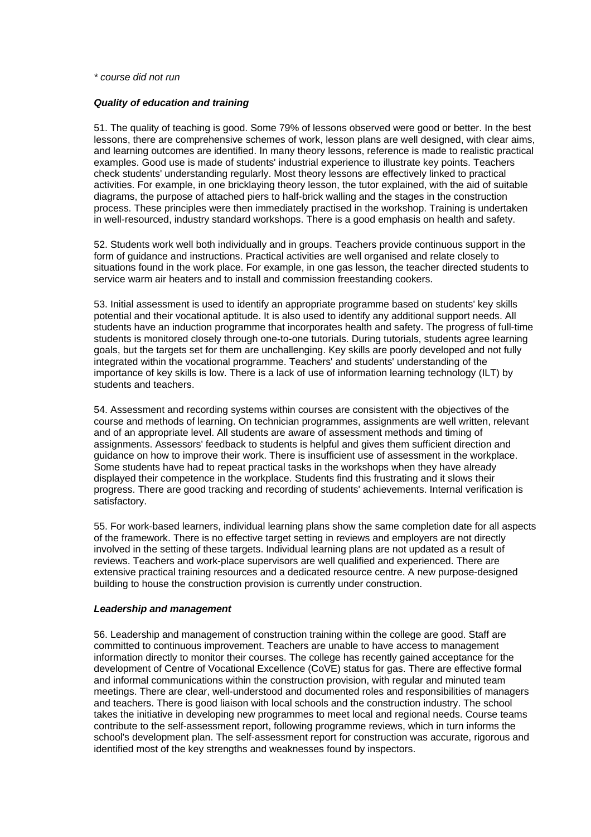#### *\* course did not run*

#### *Quality of education and training*

51. The quality of teaching is good. Some 79% of lessons observed were good or better. In the best lessons, there are comprehensive schemes of work, lesson plans are well designed, with clear aims, and learning outcomes are identified. In many theory lessons, reference is made to realistic practical examples. Good use is made of students' industrial experience to illustrate key points. Teachers check students' understanding regularly. Most theory lessons are effectively linked to practical activities. For example, in one bricklaying theory lesson, the tutor explained, with the aid of suitable diagrams, the purpose of attached piers to half-brick walling and the stages in the construction process. These principles were then immediately practised in the workshop. Training is undertaken in well-resourced, industry standard workshops. There is a good emphasis on health and safety.

52. Students work well both individually and in groups. Teachers provide continuous support in the form of guidance and instructions. Practical activities are well organised and relate closely to situations found in the work place. For example, in one gas lesson, the teacher directed students to service warm air heaters and to install and commission freestanding cookers.

53. Initial assessment is used to identify an appropriate programme based on students' key skills potential and their vocational aptitude. It is also used to identify any additional support needs. All students have an induction programme that incorporates health and safety. The progress of full-time students is monitored closely through one-to-one tutorials. During tutorials, students agree learning goals, but the targets set for them are unchallenging. Key skills are poorly developed and not fully integrated within the vocational programme. Teachers' and students' understanding of the importance of key skills is low. There is a lack of use of information learning technology (ILT) by students and teachers.

54. Assessment and recording systems within courses are consistent with the objectives of the course and methods of learning. On technician programmes, assignments are well written, relevant and of an appropriate level. All students are aware of assessment methods and timing of assignments. Assessors' feedback to students is helpful and gives them sufficient direction and guidance on how to improve their work. There is insufficient use of assessment in the workplace. Some students have had to repeat practical tasks in the workshops when they have already displayed their competence in the workplace. Students find this frustrating and it slows their progress. There are good tracking and recording of students' achievements. Internal verification is satisfactory.

55. For work-based learners, individual learning plans show the same completion date for all aspects of the framework. There is no effective target setting in reviews and employers are not directly involved in the setting of these targets. Individual learning plans are not updated as a result of reviews. Teachers and work-place supervisors are well qualified and experienced. There are extensive practical training resources and a dedicated resource centre. A new purpose-designed building to house the construction provision is currently under construction.

#### *Leadership and management*

56. Leadership and management of construction training within the college are good. Staff are committed to continuous improvement. Teachers are unable to have access to management information directly to monitor their courses. The college has recently gained acceptance for the development of Centre of Vocational Excellence (CoVE) status for gas. There are effective formal and informal communications within the construction provision, with regular and minuted team meetings. There are clear, well-understood and documented roles and responsibilities of managers and teachers. There is good liaison with local schools and the construction industry. The school takes the initiative in developing new programmes to meet local and regional needs. Course teams contribute to the self-assessment report, following programme reviews, which in turn informs the school's development plan. The self-assessment report for construction was accurate, rigorous and identified most of the key strengths and weaknesses found by inspectors.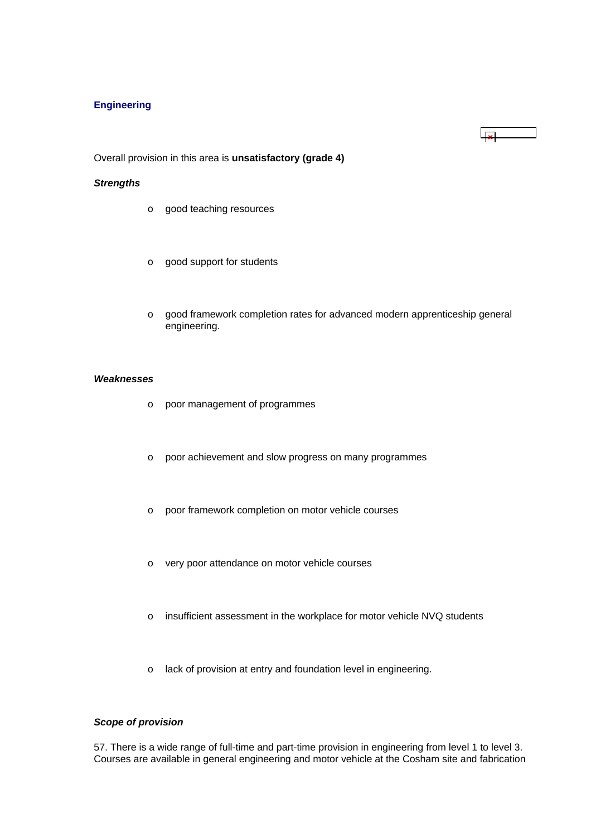# <span id="page-22-0"></span>**Engineering**

Overall provision in this area is **unsatisfactory (grade 4)**

#### *Strengths*

- o good teaching resources
- o good support for students
- o good framework completion rates for advanced modern apprenticeship general engineering.

 $\overline{\mathbf{x}}$ 

# *Weaknesses*

- o poor management of programmes
- o poor achievement and slow progress on many programmes
- o poor framework completion on motor vehicle courses
- o very poor attendance on motor vehicle courses
- o insufficient assessment in the workplace for motor vehicle NVQ students
- o lack of provision at entry and foundation level in engineering.

### *Scope of provision*

57. There is a wide range of full-time and part-time provision in engineering from level 1 to level 3. Courses are available in general engineering and motor vehicle at the Cosham site and fabrication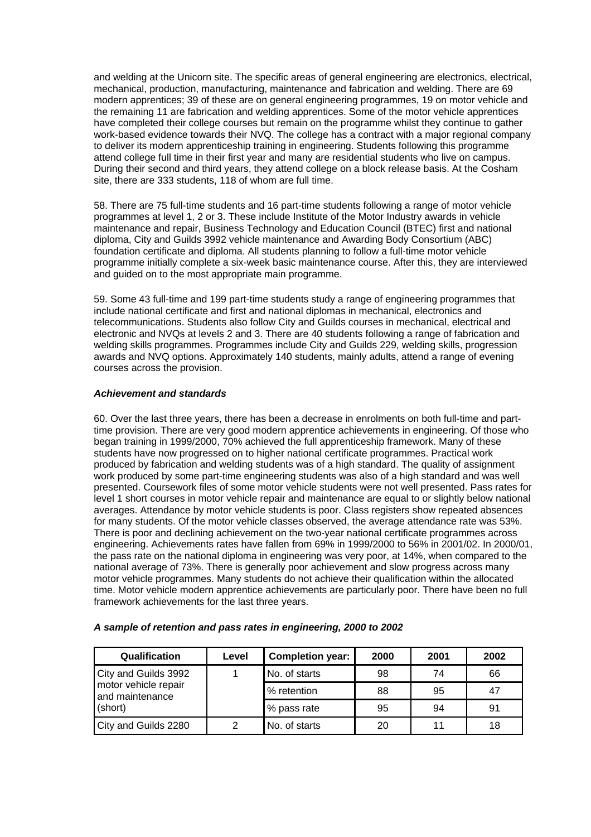and welding at the Unicorn site. The specific areas of general engineering are electronics, electrical, mechanical, production, manufacturing, maintenance and fabrication and welding. There are 69 modern apprentices; 39 of these are on general engineering programmes, 19 on motor vehicle and the remaining 11 are fabrication and welding apprentices. Some of the motor vehicle apprentices have completed their college courses but remain on the programme whilst they continue to gather work-based evidence towards their NVQ. The college has a contract with a major regional company to deliver its modern apprenticeship training in engineering. Students following this programme attend college full time in their first year and many are residential students who live on campus. During their second and third years, they attend college on a block release basis. At the Cosham site, there are 333 students, 118 of whom are full time.

58. There are 75 full-time students and 16 part-time students following a range of motor vehicle programmes at level 1, 2 or 3. These include Institute of the Motor Industry awards in vehicle maintenance and repair, Business Technology and Education Council (BTEC) first and national diploma, City and Guilds 3992 vehicle maintenance and Awarding Body Consortium (ABC) foundation certificate and diploma. All students planning to follow a full-time motor vehicle programme initially complete a six-week basic maintenance course. After this, they are interviewed and guided on to the most appropriate main programme.

59. Some 43 full-time and 199 part-time students study a range of engineering programmes that include national certificate and first and national diplomas in mechanical, electronics and telecommunications. Students also follow City and Guilds courses in mechanical, electrical and electronic and NVQs at levels 2 and 3. There are 40 students following a range of fabrication and welding skills programmes. Programmes include City and Guilds 229, welding skills, progression awards and NVQ options. Approximately 140 students, mainly adults, attend a range of evening courses across the provision.

## *Achievement and standards*

60. Over the last three years, there has been a decrease in enrolments on both full-time and parttime provision. There are very good modern apprentice achievements in engineering. Of those who began training in 1999/2000, 70% achieved the full apprenticeship framework. Many of these students have now progressed on to higher national certificate programmes. Practical work produced by fabrication and welding students was of a high standard. The quality of assignment work produced by some part-time engineering students was also of a high standard and was well presented. Coursework files of some motor vehicle students were not well presented. Pass rates for level 1 short courses in motor vehicle repair and maintenance are equal to or slightly below national averages. Attendance by motor vehicle students is poor. Class registers show repeated absences for many students. Of the motor vehicle classes observed, the average attendance rate was 53%. There is poor and declining achievement on the two-year national certificate programmes across engineering. Achievements rates have fallen from 69% in 1999/2000 to 56% in 2001/02. In 2000/01, the pass rate on the national diploma in engineering was very poor, at 14%, when compared to the national average of 73%. There is generally poor achievement and slow progress across many motor vehicle programmes. Many students do not achieve their qualification within the allocated time. Motor vehicle modern apprentice achievements are particularly poor. There have been no full framework achievements for the last three years.

| Qualification                                                              | Level | <b>Completion year:</b> | 2000 | 2001 | 2002 |
|----------------------------------------------------------------------------|-------|-------------------------|------|------|------|
| City and Guilds 3992<br>motor vehicle repair<br>and maintenance<br>(short) |       | No. of starts           | 98   | 74   | 66   |
|                                                                            |       | % retention             | 88   | 95   | 47   |
|                                                                            |       | % pass rate             | 95   | 94   | 91   |
| City and Guilds 2280                                                       | っ     | No. of starts           | 20   | 11   | 18   |

#### *A sample of retention and pass rates in engineering, 2000 to 2002*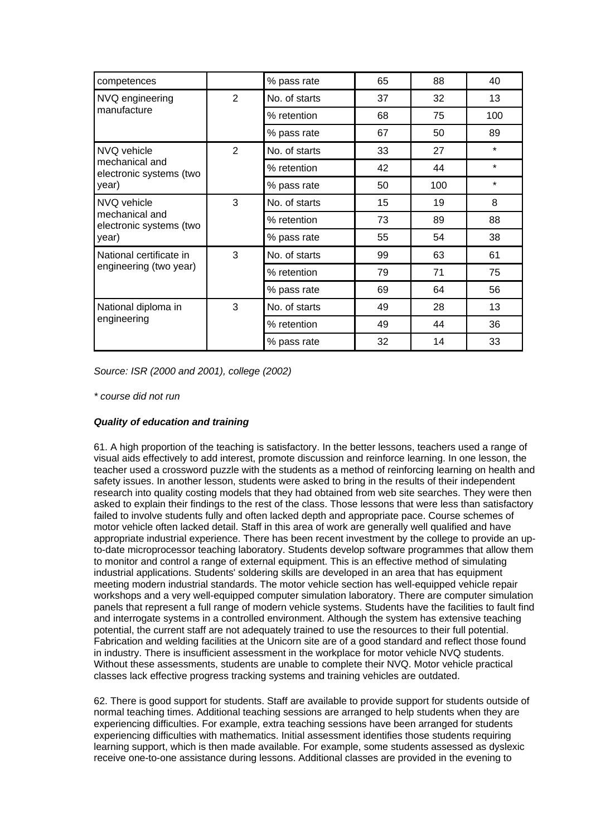| competences                               |   | % pass rate   | 65 | 88  | 40      |
|-------------------------------------------|---|---------------|----|-----|---------|
| NVQ engineering                           | 2 | No. of starts | 37 | 32  | 13      |
| manufacture                               |   | % retention   | 68 | 75  | 100     |
|                                           |   | % pass rate   | 67 | 50  | 89      |
| NVQ vehicle                               | 2 | No. of starts | 33 | 27  | $\star$ |
| mechanical and<br>electronic systems (two |   | % retention   | 42 | 44  | $\star$ |
| year)                                     |   | % pass rate   | 50 | 100 | $\star$ |
| NVQ vehicle                               | 3 | No. of starts | 15 | 19  | 8       |
| mechanical and<br>electronic systems (two |   | % retention   | 73 | 89  | 88      |
| year)                                     |   | % pass rate   | 55 | 54  | 38      |
| National certificate in                   | 3 | No. of starts | 99 | 63  | 61      |
| engineering (two year)                    |   | % retention   | 79 | 71  | 75      |
|                                           |   | % pass rate   | 69 | 64  | 56      |
| National diploma in<br>engineering        | 3 | No. of starts | 49 | 28  | 13      |
|                                           |   | % retention   | 49 | 44  | 36      |
|                                           |   | % pass rate   | 32 | 14  | 33      |

*Source: ISR (2000 and 2001), college (2002)*

### *\* course did not run*

# *Quality of education and training*

61. A high proportion of the teaching is satisfactory. In the better lessons, teachers used a range of visual aids effectively to add interest, promote discussion and reinforce learning. In one lesson, the teacher used a crossword puzzle with the students as a method of reinforcing learning on health and safety issues. In another lesson, students were asked to bring in the results of their independent research into quality costing models that they had obtained from web site searches. They were then asked to explain their findings to the rest of the class. Those lessons that were less than satisfactory failed to involve students fully and often lacked depth and appropriate pace. Course schemes of motor vehicle often lacked detail. Staff in this area of work are generally well qualified and have appropriate industrial experience. There has been recent investment by the college to provide an upto-date microprocessor teaching laboratory. Students develop software programmes that allow them to monitor and control a range of external equipment. This is an effective method of simulating industrial applications. Students' soldering skills are developed in an area that has equipment meeting modern industrial standards. The motor vehicle section has well-equipped vehicle repair workshops and a very well-equipped computer simulation laboratory. There are computer simulation panels that represent a full range of modern vehicle systems. Students have the facilities to fault find and interrogate systems in a controlled environment. Although the system has extensive teaching potential, the current staff are not adequately trained to use the resources to their full potential. Fabrication and welding facilities at the Unicorn site are of a good standard and reflect those found in industry. There is insufficient assessment in the workplace for motor vehicle NVQ students. Without these assessments, students are unable to complete their NVQ. Motor vehicle practical classes lack effective progress tracking systems and training vehicles are outdated.

62. There is good support for students. Staff are available to provide support for students outside of normal teaching times. Additional teaching sessions are arranged to help students when they are experiencing difficulties. For example, extra teaching sessions have been arranged for students experiencing difficulties with mathematics. Initial assessment identifies those students requiring learning support, which is then made available. For example, some students assessed as dyslexic receive one-to-one assistance during lessons. Additional classes are provided in the evening to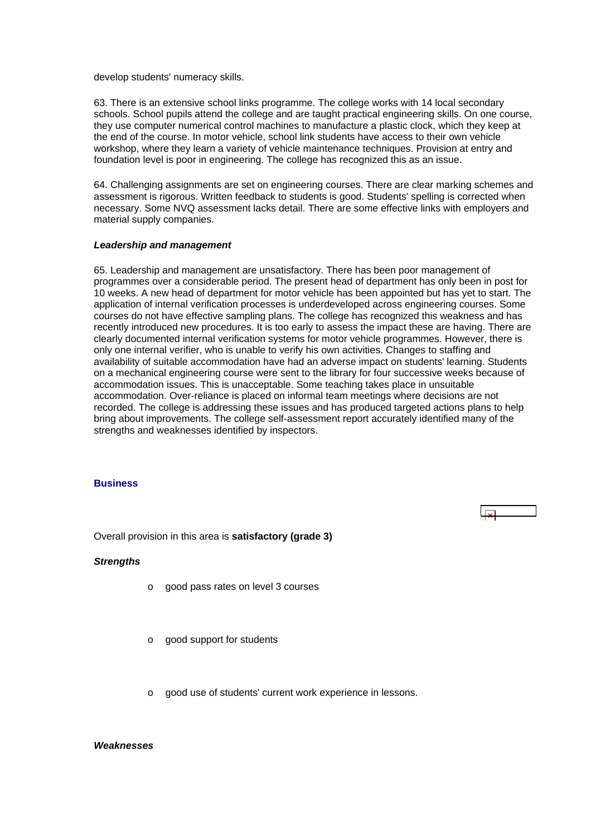<span id="page-25-0"></span>develop students' numeracy skills.

63. There is an extensive school links programme. The college works with 14 local secondary schools. School pupils attend the college and are taught practical engineering skills. On one course, they use computer numerical control machines to manufacture a plastic clock, which they keep at the end of the course. In motor vehicle, school link students have access to their own vehicle workshop, where they learn a variety of vehicle maintenance techniques. Provision at entry and foundation level is poor in engineering. The college has recognized this as an issue.

64. Challenging assignments are set on engineering courses. There are clear marking schemes and assessment is rigorous. Written feedback to students is good. Students' spelling is corrected when necessary. Some NVQ assessment lacks detail. There are some effective links with employers and material supply companies.

#### *Leadership and management*

65. Leadership and management are unsatisfactory. There has been poor management of programmes over a considerable period. The present head of department has only been in post for 10 weeks. A new head of department for motor vehicle has been appointed but has yet to start. The application of internal verification processes is underdeveloped across engineering courses. Some courses do not have effective sampling plans. The college has recognized this weakness and has recently introduced new procedures. It is too early to assess the impact these are having. There are clearly documented internal verification systems for motor vehicle programmes. However, there is only one internal verifier, who is unable to verify his own activities. Changes to staffing and availability of suitable accommodation have had an adverse impact on students' learning. Students on a mechanical engineering course were sent to the library for four successive weeks because of accommodation issues. This is unacceptable. Some teaching takes place in unsuitable accommodation. Over-reliance is placed on informal team meetings where decisions are not recorded. The college is addressing these issues and has produced targeted actions plans to help bring about improvements. The college self-assessment report accurately identified many of the strengths and weaknesses identified by inspectors.

#### **Business**

Overall provision in this area is **satisfactory (grade 3)**

#### *Strengths*

- o good pass rates on level 3 courses
- o good support for students
- o good use of students' current work experience in lessons.

#### *Weaknesses*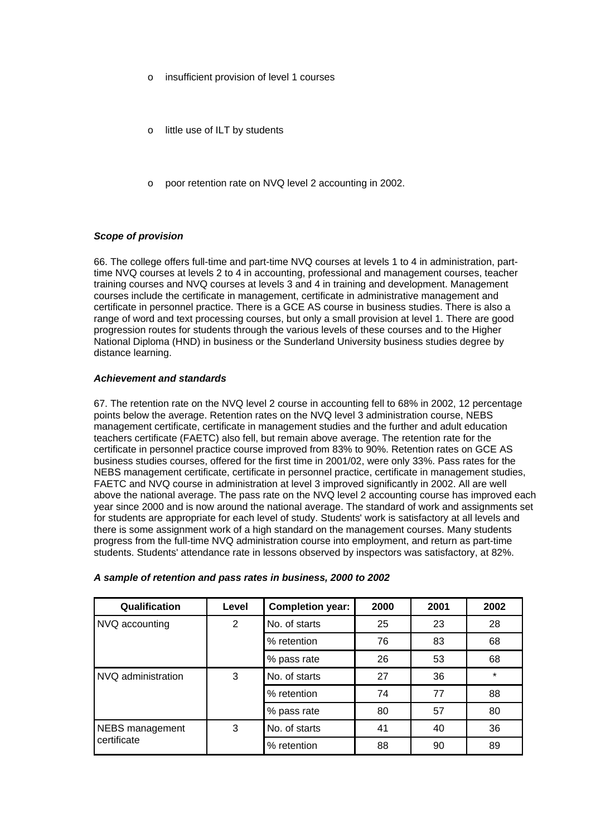- insufficient provision of level 1 courses
- little use of ILT by students
- o poor retention rate on NVQ level 2 accounting in 2002.

# *Scope of provision*

66. The college offers full-time and part-time NVQ courses at levels 1 to 4 in administration, parttime NVQ courses at levels 2 to 4 in accounting, professional and management courses, teacher training courses and NVQ courses at levels 3 and 4 in training and development. Management courses include the certificate in management, certificate in administrative management and certificate in personnel practice. There is a GCE AS course in business studies. There is also a range of word and text processing courses, but only a small provision at level 1. There are good progression routes for students through the various levels of these courses and to the Higher National Diploma (HND) in business or the Sunderland University business studies degree by distance learning.

## *Achievement and standards*

67. The retention rate on the NVQ level 2 course in accounting fell to 68% in 2002, 12 percentage points below the average. Retention rates on the NVQ level 3 administration course, NEBS management certificate, certificate in management studies and the further and adult education teachers certificate (FAETC) also fell, but remain above average. The retention rate for the certificate in personnel practice course improved from 83% to 90%. Retention rates on GCE AS business studies courses, offered for the first time in 2001/02, were only 33%. Pass rates for the NEBS management certificate, certificate in personnel practice, certificate in management studies, FAETC and NVQ course in administration at level 3 improved significantly in 2002. All are well above the national average. The pass rate on the NVQ level 2 accounting course has improved each year since 2000 and is now around the national average. The standard of work and assignments set for students are appropriate for each level of study. Students' work is satisfactory at all levels and there is some assignment work of a high standard on the management courses. Many students progress from the full-time NVQ administration course into employment, and return as part-time students. Students' attendance rate in lessons observed by inspectors was satisfactory, at 82%.

| Qualification                  | Level | <b>Completion year:</b> | 2000 | 2001 | 2002    |
|--------------------------------|-------|-------------------------|------|------|---------|
| NVQ accounting                 | 2     | No. of starts           | 25   | 23   | 28      |
|                                |       | % retention             | 76   | 83   | 68      |
|                                |       | % pass rate             | 26   | 53   | 68      |
| NVQ administration             | 3     | No. of starts           | 27   | 36   | $\star$ |
|                                |       | % retention             | 74   | 77   | 88      |
|                                |       | % pass rate             | 80   | 57   | 80      |
| NEBS management<br>certificate | 3     | No. of starts           | 41   | 40   | 36      |
|                                |       | % retention             | 88   | 90   | 89      |

#### *A sample of retention and pass rates in business, 2000 to 2002*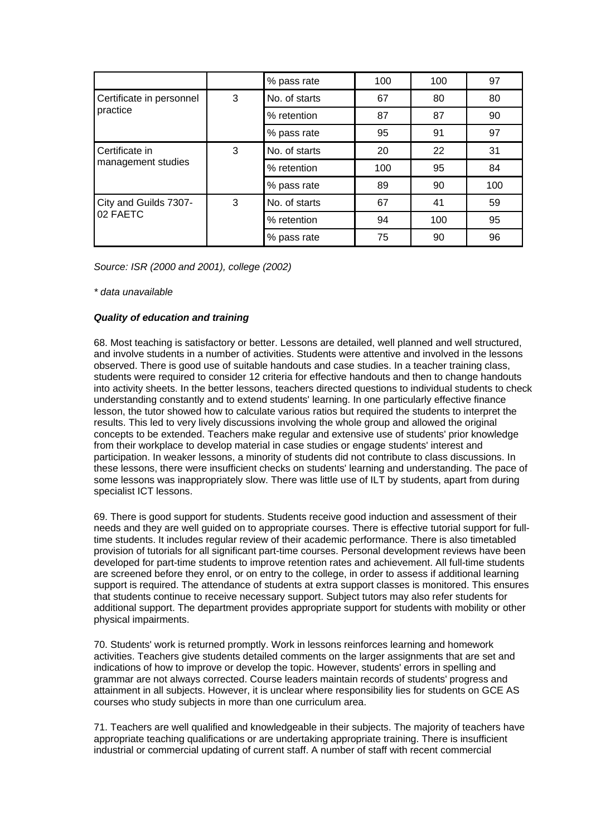|                                      |   | % pass rate   | 100 | 100 | 97  |
|--------------------------------------|---|---------------|-----|-----|-----|
| Certificate in personnel             | 3 | No. of starts | 67  | 80  | 80  |
| practice                             |   | % retention   | 87  | 87  | 90  |
|                                      |   | % pass rate   | 95  | 91  | 97  |
| Certificate in<br>management studies | 3 | No. of starts | 20  | 22  | 31  |
|                                      |   | % retention   | 100 | 95  | 84  |
|                                      |   | % pass rate   | 89  | 90  | 100 |
| City and Guilds 7307-<br>02 FAETC    | 3 | No. of starts | 67  | 41  | 59  |
|                                      |   | % retention   | 94  | 100 | 95  |
|                                      |   | % pass rate   | 75  | 90  | 96  |

*Source: ISR (2000 and 2001), college (2002)*

*\* data unavailable*

#### *Quality of education and training*

68. Most teaching is satisfactory or better. Lessons are detailed, well planned and well structured, and involve students in a number of activities. Students were attentive and involved in the lessons observed. There is good use of suitable handouts and case studies. In a teacher training class, students were required to consider 12 criteria for effective handouts and then to change handouts into activity sheets. In the better lessons, teachers directed questions to individual students to check understanding constantly and to extend students' learning. In one particularly effective finance lesson, the tutor showed how to calculate various ratios but required the students to interpret the results. This led to very lively discussions involving the whole group and allowed the original concepts to be extended. Teachers make regular and extensive use of students' prior knowledge from their workplace to develop material in case studies or engage students' interest and participation. In weaker lessons, a minority of students did not contribute to class discussions. In these lessons, there were insufficient checks on students' learning and understanding. The pace of some lessons was inappropriately slow. There was little use of ILT by students, apart from during specialist ICT lessons.

69. There is good support for students. Students receive good induction and assessment of their needs and they are well guided on to appropriate courses. There is effective tutorial support for fulltime students. It includes regular review of their academic performance. There is also timetabled provision of tutorials for all significant part-time courses. Personal development reviews have been developed for part-time students to improve retention rates and achievement. All full-time students are screened before they enrol, or on entry to the college, in order to assess if additional learning support is required. The attendance of students at extra support classes is monitored. This ensures that students continue to receive necessary support. Subject tutors may also refer students for additional support. The department provides appropriate support for students with mobility or other physical impairments.

70. Students' work is returned promptly. Work in lessons reinforces learning and homework activities. Teachers give students detailed comments on the larger assignments that are set and indications of how to improve or develop the topic. However, students' errors in spelling and grammar are not always corrected. Course leaders maintain records of students' progress and attainment in all subjects. However, it is unclear where responsibility lies for students on GCE AS courses who study subjects in more than one curriculum area.

71. Teachers are well qualified and knowledgeable in their subjects. The majority of teachers have appropriate teaching qualifications or are undertaking appropriate training. There is insufficient industrial or commercial updating of current staff. A number of staff with recent commercial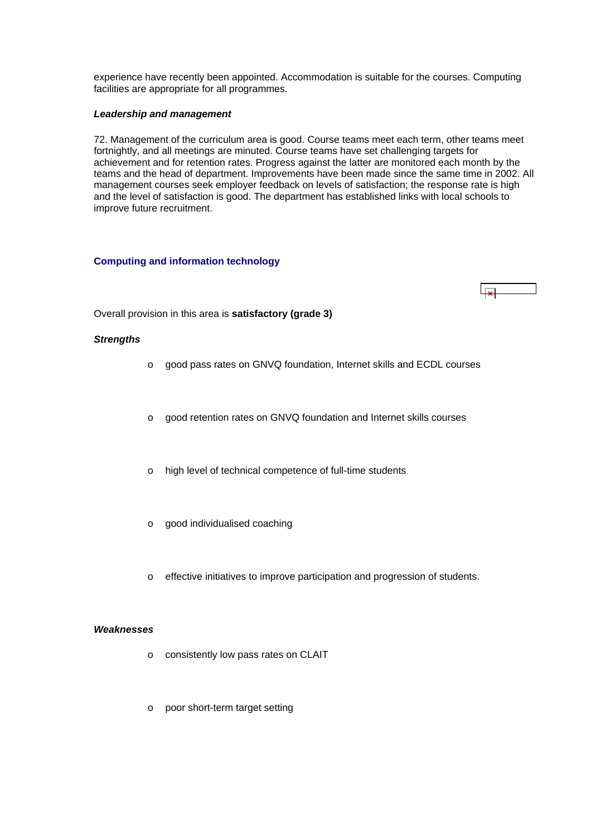<span id="page-28-0"></span>experience have recently been appointed. Accommodation is suitable for the courses. Computing facilities are appropriate for all programmes.

#### *Leadership and management*

72. Management of the curriculum area is good. Course teams meet each term, other teams meet fortnightly, and all meetings are minuted. Course teams have set challenging targets for achievement and for retention rates. Progress against the latter are monitored each month by the teams and the head of department. Improvements have been made since the same time in 2002. All management courses seek employer feedback on levels of satisfaction; the response rate is high and the level of satisfaction is good. The department has established links with local schools to improve future recruitment.

## **Computing and information technology**

Overall provision in this area is **satisfactory (grade 3)**

## *Strengths*

- o good pass rates on GNVQ foundation, Internet skills and ECDL courses
- o good retention rates on GNVQ foundation and Internet skills courses
- o high level of technical competence of full-time students
- o good individualised coaching
- o effective initiatives to improve participation and progression of students.

#### *Weaknesses*

- o consistently low pass rates on CLAIT
- o poor short-term target setting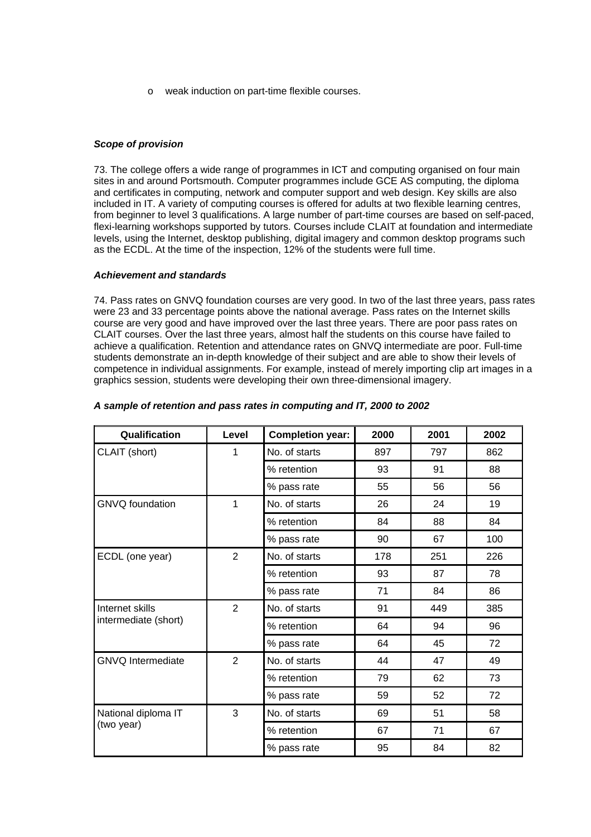o weak induction on part-time flexible courses.

# *Scope of provision*

73. The college offers a wide range of programmes in ICT and computing organised on four main sites in and around Portsmouth. Computer programmes include GCE AS computing, the diploma and certificates in computing, network and computer support and web design. Key skills are also included in IT. A variety of computing courses is offered for adults at two flexible learning centres, from beginner to level 3 qualifications. A large number of part-time courses are based on self-paced, flexi-learning workshops supported by tutors. Courses include CLAIT at foundation and intermediate levels, using the Internet, desktop publishing, digital imagery and common desktop programs such as the ECDL. At the time of the inspection, 12% of the students were full time.

## *Achievement and standards*

74. Pass rates on GNVQ foundation courses are very good. In two of the last three years, pass rates were 23 and 33 percentage points above the national average. Pass rates on the Internet skills course are very good and have improved over the last three years. There are poor pass rates on CLAIT courses. Over the last three years, almost half the students on this course have failed to achieve a qualification. Retention and attendance rates on GNVQ intermediate are poor. Full-time students demonstrate an in-depth knowledge of their subject and are able to show their levels of competence in individual assignments. For example, instead of merely importing clip art images in a graphics session, students were developing their own three-dimensional imagery.

| Qualification                           | Level          | <b>Completion year:</b> | 2000 | 2001 | 2002 |
|-----------------------------------------|----------------|-------------------------|------|------|------|
| CLAIT (short)                           | 1              | No. of starts           | 897  | 797  | 862  |
|                                         |                | % retention             | 93   | 91   | 88   |
|                                         |                | % pass rate             | 55   | 56   | 56   |
| <b>GNVQ</b> foundation                  | 1              | No. of starts           | 26   | 24   | 19   |
|                                         |                | % retention             | 84   | 88   | 84   |
|                                         |                | % pass rate             | 90   | 67   | 100  |
| ECDL (one year)                         | 2              | No. of starts           | 178  | 251  | 226  |
|                                         |                | % retention             | 93   | 87   | 78   |
|                                         |                | % pass rate             | 71   | 84   | 86   |
| Internet skills<br>intermediate (short) | 2              | No. of starts           | 91   | 449  | 385  |
|                                         |                | % retention             | 64   | 94   | 96   |
|                                         |                | % pass rate             | 64   | 45   | 72   |
| <b>GNVQ</b> Intermediate                | $\overline{2}$ | No. of starts           | 44   | 47   | 49   |
|                                         |                | % retention             | 79   | 62   | 73   |
|                                         |                | % pass rate             | 59   | 52   | 72   |
| National diploma IT                     | 3              | No. of starts           | 69   | 51   | 58   |
| (two year)                              |                | % retention             | 67   | 71   | 67   |
|                                         |                | % pass rate             | 95   | 84   | 82   |

## *A sample of retention and pass rates in computing and IT, 2000 to 2002*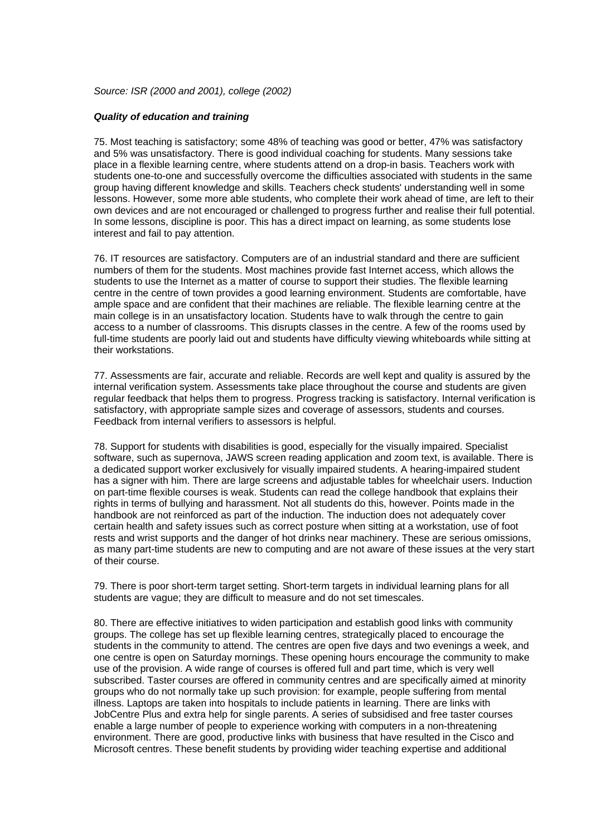*Source: ISR (2000 and 2001), college (2002)*

#### *Quality of education and training*

75. Most teaching is satisfactory; some 48% of teaching was good or better, 47% was satisfactory and 5% was unsatisfactory. There is good individual coaching for students. Many sessions take place in a flexible learning centre, where students attend on a drop-in basis. Teachers work with students one-to-one and successfully overcome the difficulties associated with students in the same group having different knowledge and skills. Teachers check students' understanding well in some lessons. However, some more able students, who complete their work ahead of time, are left to their own devices and are not encouraged or challenged to progress further and realise their full potential. In some lessons, discipline is poor. This has a direct impact on learning, as some students lose interest and fail to pay attention.

76. IT resources are satisfactory. Computers are of an industrial standard and there are sufficient numbers of them for the students. Most machines provide fast Internet access, which allows the students to use the Internet as a matter of course to support their studies. The flexible learning centre in the centre of town provides a good learning environment. Students are comfortable, have ample space and are confident that their machines are reliable. The flexible learning centre at the main college is in an unsatisfactory location. Students have to walk through the centre to gain access to a number of classrooms. This disrupts classes in the centre. A few of the rooms used by full-time students are poorly laid out and students have difficulty viewing whiteboards while sitting at their workstations.

77. Assessments are fair, accurate and reliable. Records are well kept and quality is assured by the internal verification system. Assessments take place throughout the course and students are given regular feedback that helps them to progress. Progress tracking is satisfactory. Internal verification is satisfactory, with appropriate sample sizes and coverage of assessors, students and courses. Feedback from internal verifiers to assessors is helpful.

78. Support for students with disabilities is good, especially for the visually impaired. Specialist software, such as supernova, JAWS screen reading application and zoom text, is available. There is a dedicated support worker exclusively for visually impaired students. A hearing-impaired student has a signer with him. There are large screens and adjustable tables for wheelchair users. Induction on part-time flexible courses is weak. Students can read the college handbook that explains their rights in terms of bullying and harassment. Not all students do this, however. Points made in the handbook are not reinforced as part of the induction. The induction does not adequately cover certain health and safety issues such as correct posture when sitting at a workstation, use of foot rests and wrist supports and the danger of hot drinks near machinery. These are serious omissions, as many part-time students are new to computing and are not aware of these issues at the very start of their course.

79. There is poor short-term target setting. Short-term targets in individual learning plans for all students are vague; they are difficult to measure and do not set timescales.

80. There are effective initiatives to widen participation and establish good links with community groups. The college has set up flexible learning centres, strategically placed to encourage the students in the community to attend. The centres are open five days and two evenings a week, and one centre is open on Saturday mornings. These opening hours encourage the community to make use of the provision. A wide range of courses is offered full and part time, which is very well subscribed. Taster courses are offered in community centres and are specifically aimed at minority groups who do not normally take up such provision: for example, people suffering from mental illness. Laptops are taken into hospitals to include patients in learning. There are links with JobCentre Plus and extra help for single parents. A series of subsidised and free taster courses enable a large number of people to experience working with computers in a non-threatening environment. There are good, productive links with business that have resulted in the Cisco and Microsoft centres. These benefit students by providing wider teaching expertise and additional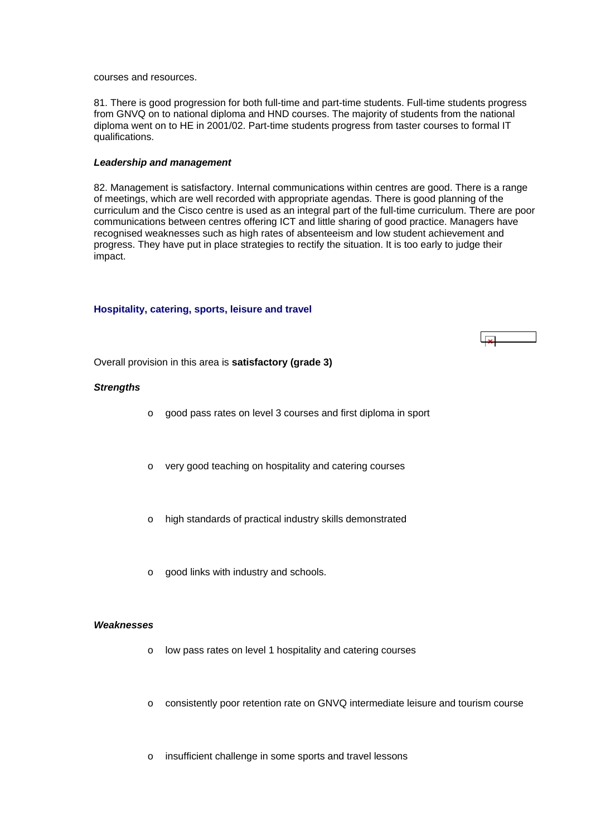<span id="page-31-0"></span>courses and resources.

81. There is good progression for both full-time and part-time students. Full-time students progress from GNVQ on to national diploma and HND courses. The majority of students from the national diploma went on to HE in 2001/02. Part-time students progress from taster courses to formal IT qualifications.

#### *Leadership and management*

82. Management is satisfactory. Internal communications within centres are good. There is a range of meetings, which are well recorded with appropriate agendas. There is good planning of the curriculum and the Cisco centre is used as an integral part of the full-time curriculum. There are poor communications between centres offering ICT and little sharing of good practice. Managers have recognised weaknesses such as high rates of absenteeism and low student achievement and progress. They have put in place strategies to rectify the situation. It is too early to judge their impact.

#### **Hospitality, catering, sports, leisure and travel**



Overall provision in this area is **satisfactory (grade 3)**

#### *Strengths*

- o good pass rates on level 3 courses and first diploma in sport
- o very good teaching on hospitality and catering courses
- o high standards of practical industry skills demonstrated
- o good links with industry and schools.

#### *Weaknesses*

- o low pass rates on level 1 hospitality and catering courses
- o consistently poor retention rate on GNVQ intermediate leisure and tourism course
- o insufficient challenge in some sports and travel lessons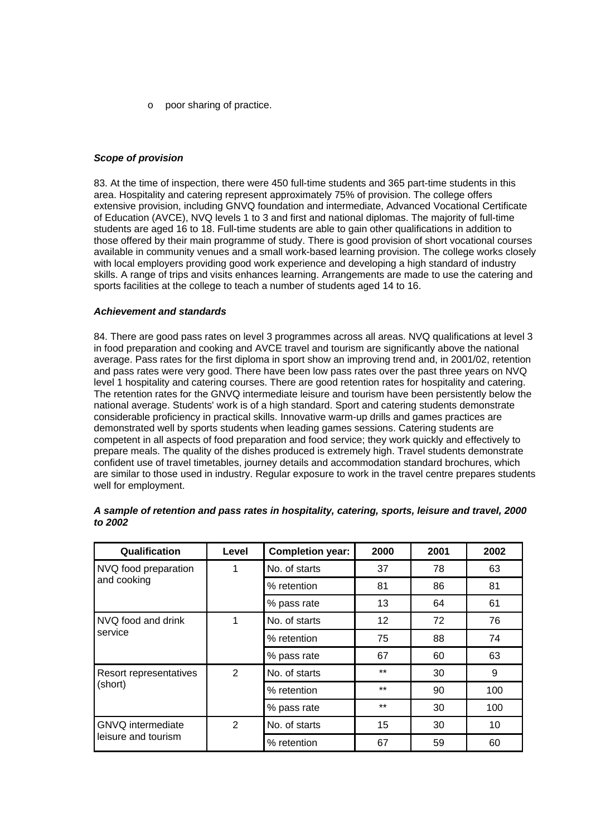o poor sharing of practice.

### *Scope of provision*

83. At the time of inspection, there were 450 full-time students and 365 part-time students in this area. Hospitality and catering represent approximately 75% of provision. The college offers extensive provision, including GNVQ foundation and intermediate, Advanced Vocational Certificate of Education (AVCE), NVQ levels 1 to 3 and first and national diplomas. The majority of full-time students are aged 16 to 18. Full-time students are able to gain other qualifications in addition to those offered by their main programme of study. There is good provision of short vocational courses available in community venues and a small work-based learning provision. The college works closely with local employers providing good work experience and developing a high standard of industry skills. A range of trips and visits enhances learning. Arrangements are made to use the catering and sports facilities at the college to teach a number of students aged 14 to 16.

#### *Achievement and standards*

84. There are good pass rates on level 3 programmes across all areas. NVQ qualifications at level 3 in food preparation and cooking and AVCE travel and tourism are significantly above the national average. Pass rates for the first diploma in sport show an improving trend and, in 2001/02, retention and pass rates were very good. There have been low pass rates over the past three years on NVQ level 1 hospitality and catering courses. There are good retention rates for hospitality and catering. The retention rates for the GNVQ intermediate leisure and tourism have been persistently below the national average. Students' work is of a high standard. Sport and catering students demonstrate considerable proficiency in practical skills. Innovative warm-up drills and games practices are demonstrated well by sports students when leading games sessions. Catering students are competent in all aspects of food preparation and food service; they work quickly and effectively to prepare meals. The quality of the dishes produced is extremely high. Travel students demonstrate confident use of travel timetables, journey details and accommodation standard brochures, which are similar to those used in industry. Regular exposure to work in the travel centre prepares students well for employment.

| Qualification                                   | Level          | <b>Completion year:</b> | 2000  | 2001 | 2002 |
|-------------------------------------------------|----------------|-------------------------|-------|------|------|
| NVQ food preparation                            | 1              | No. of starts           | 37    | 78   | 63   |
| and cooking                                     |                | % retention             | 81    | 86   | 81   |
|                                                 |                | % pass rate             | 13    | 64   | 61   |
| NVQ food and drink                              | 1              | No. of starts           | 12    | 72   | 76   |
| service                                         |                | % retention             | 75    | 88   | 74   |
|                                                 |                | % pass rate             | 67    | 60   | 63   |
| Resort representatives<br>(short)               | $\overline{2}$ | No. of starts           | $***$ | 30   | 9    |
|                                                 |                | % retention             | $***$ | 90   | 100  |
|                                                 |                | % pass rate             | $***$ | 30   | 100  |
| <b>GNVQ</b> intermediate<br>leisure and tourism | 2              | No. of starts           | 15    | 30   | 10   |
|                                                 |                | % retention             | 67    | 59   | 60   |

| A sample of retention and pass rates in hospitality, catering, sports, leisure and travel, 2000 |  |  |
|-------------------------------------------------------------------------------------------------|--|--|
| to 2002                                                                                         |  |  |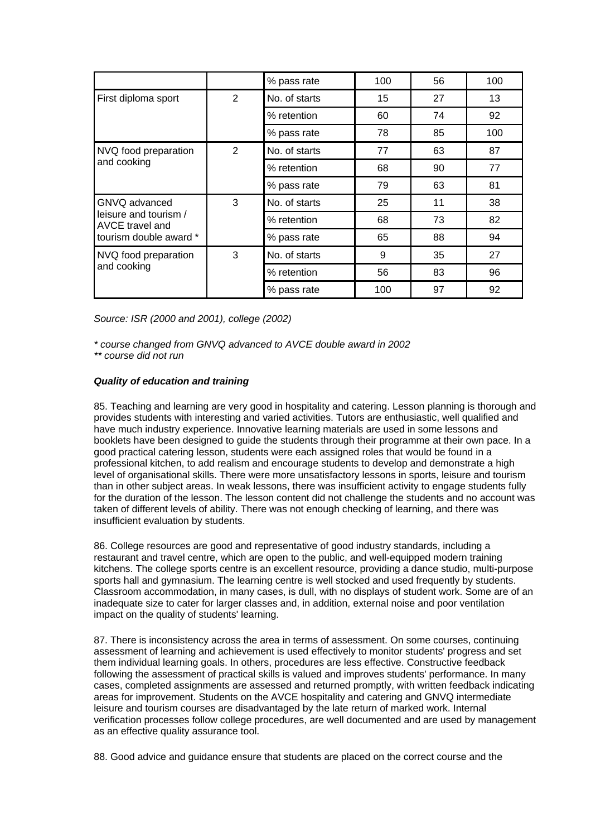|                                                                                     |                | % pass rate   | 100 | 56 | 100 |
|-------------------------------------------------------------------------------------|----------------|---------------|-----|----|-----|
| First diploma sport                                                                 | 2              | No. of starts | 15  | 27 | 13  |
|                                                                                     |                | % retention   | 60  | 74 | 92  |
|                                                                                     |                | % pass rate   | 78  | 85 | 100 |
| NVQ food preparation                                                                | $\overline{2}$ | No. of starts | 77  | 63 | 87  |
| and cooking                                                                         |                | % retention   | 68  | 90 | 77  |
|                                                                                     |                | % pass rate   | 79  | 63 | 81  |
| GNVQ advanced<br>leisure and tourism /<br>AVCE travel and<br>tourism double award * | 3              | No. of starts | 25  | 11 | 38  |
|                                                                                     |                | % retention   | 68  | 73 | 82  |
|                                                                                     |                | % pass rate   | 65  | 88 | 94  |
| NVQ food preparation<br>and cooking                                                 | 3              | No. of starts | 9   | 35 | 27  |
|                                                                                     |                | % retention   | 56  | 83 | 96  |
|                                                                                     |                | % pass rate   | 100 | 97 | 92  |

*Source: ISR (2000 and 2001), college (2002)*

*\* course changed from GNVQ advanced to AVCE double award in 2002* 

*\*\* course did not run*

# *Quality of education and training*

85. Teaching and learning are very good in hospitality and catering. Lesson planning is thorough and provides students with interesting and varied activities. Tutors are enthusiastic, well qualified and have much industry experience. Innovative learning materials are used in some lessons and booklets have been designed to guide the students through their programme at their own pace. In a good practical catering lesson, students were each assigned roles that would be found in a professional kitchen, to add realism and encourage students to develop and demonstrate a high level of organisational skills. There were more unsatisfactory lessons in sports, leisure and tourism than in other subject areas. In weak lessons, there was insufficient activity to engage students fully for the duration of the lesson. The lesson content did not challenge the students and no account was taken of different levels of ability. There was not enough checking of learning, and there was insufficient evaluation by students.

86. College resources are good and representative of good industry standards, including a restaurant and travel centre, which are open to the public, and well-equipped modern training kitchens. The college sports centre is an excellent resource, providing a dance studio, multi-purpose sports hall and gymnasium. The learning centre is well stocked and used frequently by students. Classroom accommodation, in many cases, is dull, with no displays of student work. Some are of an inadequate size to cater for larger classes and, in addition, external noise and poor ventilation impact on the quality of students' learning.

87. There is inconsistency across the area in terms of assessment. On some courses, continuing assessment of learning and achievement is used effectively to monitor students' progress and set them individual learning goals. In others, procedures are less effective. Constructive feedback following the assessment of practical skills is valued and improves students' performance. In many cases, completed assignments are assessed and returned promptly, with written feedback indicating areas for improvement. Students on the AVCE hospitality and catering and GNVQ intermediate leisure and tourism courses are disadvantaged by the late return of marked work. Internal verification processes follow college procedures, are well documented and are used by management as an effective quality assurance tool.

88. Good advice and guidance ensure that students are placed on the correct course and the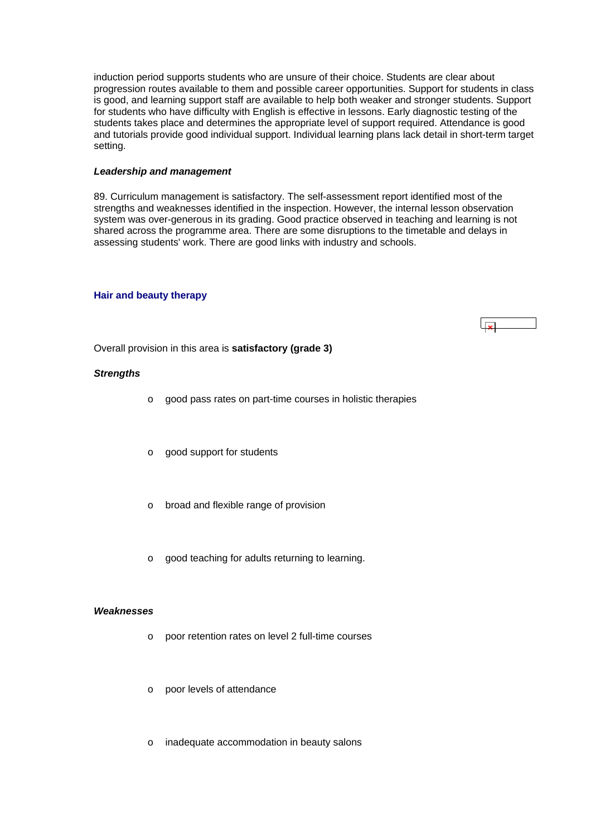<span id="page-34-0"></span>induction period supports students who are unsure of their choice. Students are clear about progression routes available to them and possible career opportunities. Support for students in class is good, and learning support staff are available to help both weaker and stronger students. Support for students who have difficulty with English is effective in lessons. Early diagnostic testing of the students takes place and determines the appropriate level of support required. Attendance is good and tutorials provide good individual support. Individual learning plans lack detail in short-term target setting.

#### *Leadership and management*

89. Curriculum management is satisfactory. The self-assessment report identified most of the strengths and weaknesses identified in the inspection. However, the internal lesson observation system was over-generous in its grading. Good practice observed in teaching and learning is not shared across the programme area. There are some disruptions to the timetable and delays in assessing students' work. There are good links with industry and schools.

ابوا

#### **Hair and beauty therapy**

Overall provision in this area is **satisfactory (grade 3)**

#### *Strengths*

- o good pass rates on part-time courses in holistic therapies
- o good support for students
- o broad and flexible range of provision
- o good teaching for adults returning to learning.

#### *Weaknesses*

- o poor retention rates on level 2 full-time courses
- o poor levels of attendance
- o inadequate accommodation in beauty salons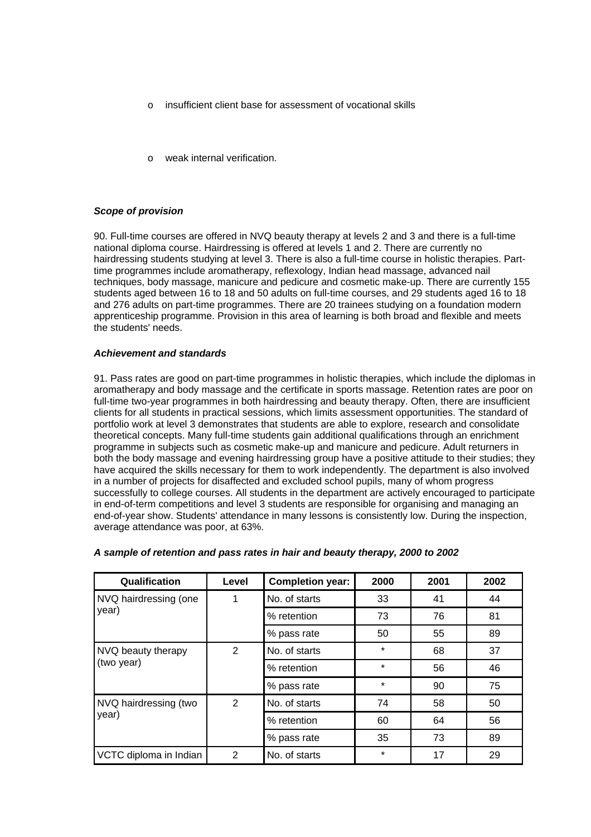- o insufficient client base for assessment of vocational skills
- weak internal verification.

# *Scope of provision*

90. Full-time courses are offered in NVQ beauty therapy at levels 2 and 3 and there is a full-time national diploma course. Hairdressing is offered at levels 1 and 2. There are currently no hairdressing students studying at level 3. There is also a full-time course in holistic therapies. Parttime programmes include aromatherapy, reflexology, Indian head massage, advanced nail techniques, body massage, manicure and pedicure and cosmetic make-up. There are currently 155 students aged between 16 to 18 and 50 adults on full-time courses, and 29 students aged 16 to 18 and 276 adults on part-time programmes. There are 20 trainees studying on a foundation modern apprenticeship programme. Provision in this area of learning is both broad and flexible and meets the students' needs.

# *Achievement and standards*

91. Pass rates are good on part-time programmes in holistic therapies, which include the diplomas in aromatherapy and body massage and the certificate in sports massage. Retention rates are poor on full-time two-year programmes in both hairdressing and beauty therapy. Often, there are insufficient clients for all students in practical sessions, which limits assessment opportunities. The standard of portfolio work at level 3 demonstrates that students are able to explore, research and consolidate theoretical concepts. Many full-time students gain additional qualifications through an enrichment programme in subjects such as cosmetic make-up and manicure and pedicure. Adult returners in both the body massage and evening hairdressing group have a positive attitude to their studies; they have acquired the skills necessary for them to work independently. The department is also involved in a number of projects for disaffected and excluded school pupils, many of whom progress successfully to college courses. All students in the department are actively encouraged to participate in end-of-term competitions and level 3 students are responsible for organising and managing an end-of-year show. Students' attendance in many lessons is consistently low. During the inspection, average attendance was poor, at 63%.

| Qualification                    | Level | <b>Completion year:</b> | 2000    | 2001 | 2002 |
|----------------------------------|-------|-------------------------|---------|------|------|
| NVQ hairdressing (one            | 1     | No. of starts           | 33      | 41   | 44   |
| year)                            |       | % retention             | 73      | 76   | 81   |
|                                  |       | % pass rate             | 50      | 55   | 89   |
| NVQ beauty therapy<br>(two year) | 2     | No. of starts           | $\star$ | 68   | 37   |
|                                  |       | % retention             | $\star$ | 56   | 46   |
|                                  |       | % pass rate             | $\star$ | 90   | 75   |
| NVQ hairdressing (two<br>year)   | 2     | No. of starts           | 74      | 58   | 50   |
|                                  |       | % retention             | 60      | 64   | 56   |
|                                  |       | % pass rate             | 35      | 73   | 89   |
| VCTC diploma in Indian           | 2     | No. of starts           | $\star$ | 17   | 29   |

# *A sample of retention and pass rates in hair and beauty therapy, 2000 to 2002*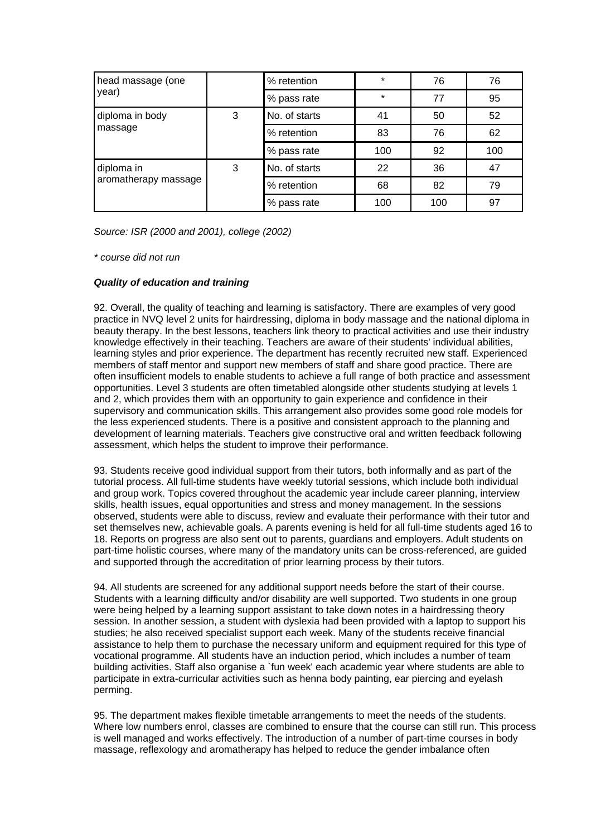| head massage (one                  |   | % retention   | $\star$ | 76  | 76  |
|------------------------------------|---|---------------|---------|-----|-----|
| year)                              |   | % pass rate   | $\star$ | 77  | 95  |
| diploma in body<br>massage         | 3 | No. of starts | 41      | 50  | 52  |
|                                    |   | % retention   | 83      | 76  | 62  |
|                                    |   | % pass rate   | 100     | 92  | 100 |
| diploma in<br>aromatherapy massage | 3 | No. of starts | 22      | 36  | 47  |
|                                    |   | % retention   | 68      | 82  | 79  |
|                                    |   | % pass rate   | 100     | 100 | 97  |

*Source: ISR (2000 and 2001), college (2002)*

*\* course did not run*

# *Quality of education and training*

92. Overall, the quality of teaching and learning is satisfactory. There are examples of very good practice in NVQ level 2 units for hairdressing, diploma in body massage and the national diploma in beauty therapy. In the best lessons, teachers link theory to practical activities and use their industry knowledge effectively in their teaching. Teachers are aware of their students' individual abilities, learning styles and prior experience. The department has recently recruited new staff. Experienced members of staff mentor and support new members of staff and share good practice. There are often insufficient models to enable students to achieve a full range of both practice and assessment opportunities. Level 3 students are often timetabled alongside other students studying at levels 1 and 2, which provides them with an opportunity to gain experience and confidence in their supervisory and communication skills. This arrangement also provides some good role models for the less experienced students. There is a positive and consistent approach to the planning and development of learning materials. Teachers give constructive oral and written feedback following assessment, which helps the student to improve their performance.

93. Students receive good individual support from their tutors, both informally and as part of the tutorial process. All full-time students have weekly tutorial sessions, which include both individual and group work. Topics covered throughout the academic year include career planning, interview skills, health issues, equal opportunities and stress and money management. In the sessions observed, students were able to discuss, review and evaluate their performance with their tutor and set themselves new, achievable goals. A parents evening is held for all full-time students aged 16 to 18. Reports on progress are also sent out to parents, guardians and employers. Adult students on part-time holistic courses, where many of the mandatory units can be cross-referenced, are guided and supported through the accreditation of prior learning process by their tutors.

94. All students are screened for any additional support needs before the start of their course. Students with a learning difficulty and/or disability are well supported. Two students in one group were being helped by a learning support assistant to take down notes in a hairdressing theory session. In another session, a student with dyslexia had been provided with a laptop to support his studies; he also received specialist support each week. Many of the students receive financial assistance to help them to purchase the necessary uniform and equipment required for this type of vocational programme. All students have an induction period, which includes a number of team building activities. Staff also organise a `fun week' each academic year where students are able to participate in extra-curricular activities such as henna body painting, ear piercing and eyelash perming.

95. The department makes flexible timetable arrangements to meet the needs of the students. Where low numbers enrol, classes are combined to ensure that the course can still run. This process is well managed and works effectively. The introduction of a number of part-time courses in body massage, reflexology and aromatherapy has helped to reduce the gender imbalance often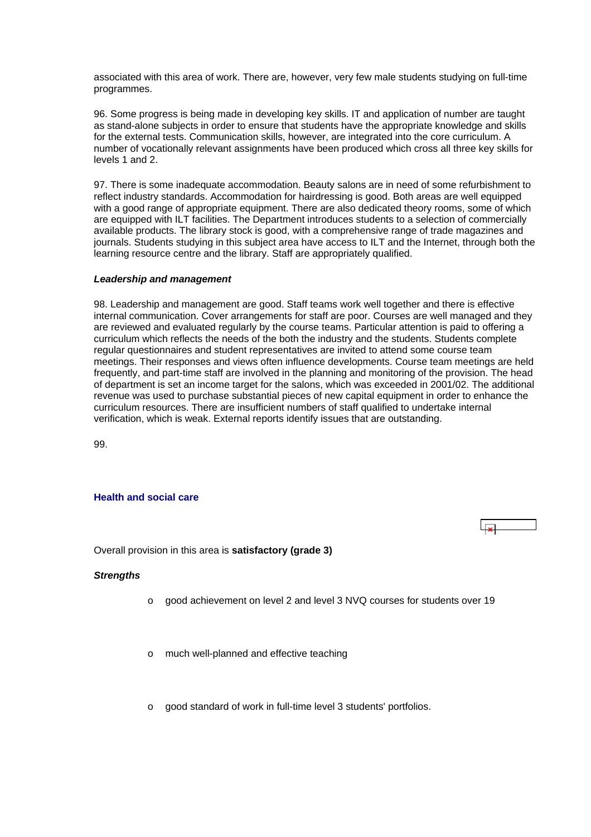<span id="page-37-0"></span>associated with this area of work. There are, however, very few male students studying on full-time programmes.

96. Some progress is being made in developing key skills. IT and application of number are taught as stand-alone subjects in order to ensure that students have the appropriate knowledge and skills for the external tests. Communication skills, however, are integrated into the core curriculum. A number of vocationally relevant assignments have been produced which cross all three key skills for levels 1 and 2.

97. There is some inadequate accommodation. Beauty salons are in need of some refurbishment to reflect industry standards. Accommodation for hairdressing is good. Both areas are well equipped with a good range of appropriate equipment. There are also dedicated theory rooms, some of which are equipped with ILT facilities. The Department introduces students to a selection of commercially available products. The library stock is good, with a comprehensive range of trade magazines and journals. Students studying in this subject area have access to ILT and the Internet, through both the learning resource centre and the library. Staff are appropriately qualified.

#### *Leadership and management*

98. Leadership and management are good. Staff teams work well together and there is effective internal communication. Cover arrangements for staff are poor. Courses are well managed and they are reviewed and evaluated regularly by the course teams. Particular attention is paid to offering a curriculum which reflects the needs of the both the industry and the students. Students complete regular questionnaires and student representatives are invited to attend some course team meetings. Their responses and views often influence developments. Course team meetings are held frequently, and part-time staff are involved in the planning and monitoring of the provision. The head of department is set an income target for the salons, which was exceeded in 2001/02. The additional revenue was used to purchase substantial pieces of new capital equipment in order to enhance the curriculum resources. There are insufficient numbers of staff qualified to undertake internal verification, which is weak. External reports identify issues that are outstanding.

99.

# **Health and social care**

Overall provision in this area is **satisfactory (grade 3)**

 $\vert$  x  $\vert$ 

#### *Strengths*

- o good achievement on level 2 and level 3 NVQ courses for students over 19
- o much well-planned and effective teaching
- o good standard of work in full-time level 3 students' portfolios.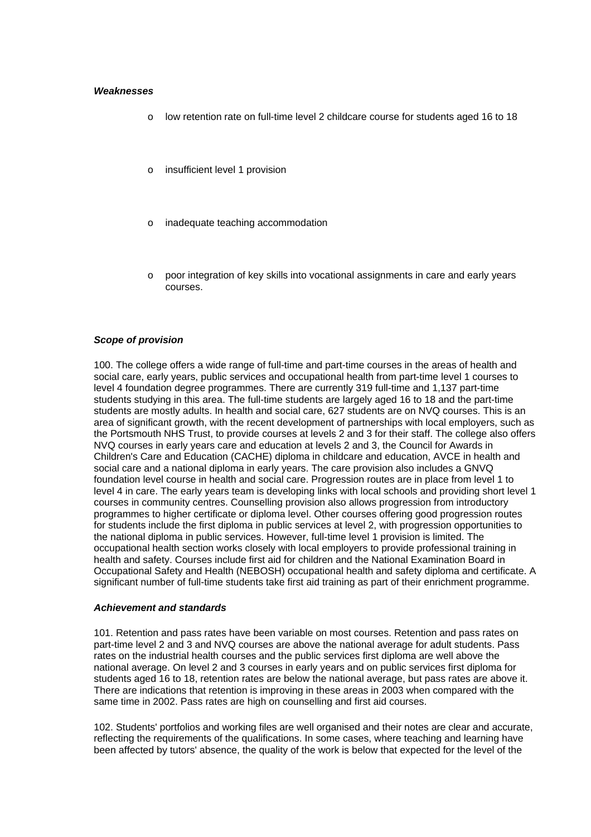#### *Weaknesses*

- o low retention rate on full-time level 2 childcare course for students aged 16 to 18
- o insufficient level 1 provision
- inadequate teaching accommodation
- o poor integration of key skills into vocational assignments in care and early years courses.

#### *Scope of provision*

100. The college offers a wide range of full-time and part-time courses in the areas of health and social care, early years, public services and occupational health from part-time level 1 courses to level 4 foundation degree programmes. There are currently 319 full-time and 1,137 part-time students studying in this area. The full-time students are largely aged 16 to 18 and the part-time students are mostly adults. In health and social care, 627 students are on NVQ courses. This is an area of significant growth, with the recent development of partnerships with local employers, such as the Portsmouth NHS Trust, to provide courses at levels 2 and 3 for their staff. The college also offers NVQ courses in early years care and education at levels 2 and 3, the Council for Awards in Children's Care and Education (CACHE) diploma in childcare and education, AVCE in health and social care and a national diploma in early years. The care provision also includes a GNVQ foundation level course in health and social care. Progression routes are in place from level 1 to level 4 in care. The early years team is developing links with local schools and providing short level 1 courses in community centres. Counselling provision also allows progression from introductory programmes to higher certificate or diploma level. Other courses offering good progression routes for students include the first diploma in public services at level 2, with progression opportunities to the national diploma in public services. However, full-time level 1 provision is limited. The occupational health section works closely with local employers to provide professional training in health and safety. Courses include first aid for children and the National Examination Board in Occupational Safety and Health (NEBOSH) occupational health and safety diploma and certificate. A significant number of full-time students take first aid training as part of their enrichment programme.

#### *Achievement and standards*

101. Retention and pass rates have been variable on most courses. Retention and pass rates on part-time level 2 and 3 and NVQ courses are above the national average for adult students. Pass rates on the industrial health courses and the public services first diploma are well above the national average. On level 2 and 3 courses in early years and on public services first diploma for students aged 16 to 18, retention rates are below the national average, but pass rates are above it. There are indications that retention is improving in these areas in 2003 when compared with the same time in 2002. Pass rates are high on counselling and first aid courses.

102. Students' portfolios and working files are well organised and their notes are clear and accurate, reflecting the requirements of the qualifications. In some cases, where teaching and learning have been affected by tutors' absence, the quality of the work is below that expected for the level of the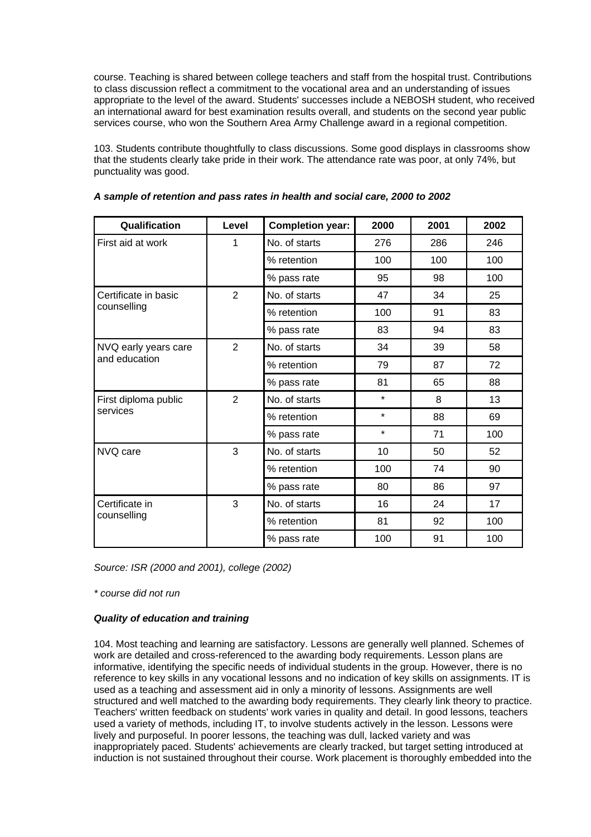course. Teaching is shared between college teachers and staff from the hospital trust. Contributions to class discussion reflect a commitment to the vocational area and an understanding of issues appropriate to the level of the award. Students' successes include a NEBOSH student, who received an international award for best examination results overall, and students on the second year public services course, who won the Southern Area Army Challenge award in a regional competition.

103. Students contribute thoughtfully to class discussions. Some good displays in classrooms show that the students clearly take pride in their work. The attendance rate was poor, at only 74%, but punctuality was good.

| Qualification        | Level          | <b>Completion year:</b> | 2000    | 2001 | 2002 |
|----------------------|----------------|-------------------------|---------|------|------|
| First aid at work    | 1              | No. of starts           | 276     | 286  | 246  |
|                      |                | % retention             | 100     | 100  | 100  |
|                      |                | % pass rate             | 95      | 98   | 100  |
| Certificate in basic | $\overline{2}$ | No. of starts           | 47      | 34   | 25   |
| counselling          |                | % retention             | 100     | 91   | 83   |
|                      |                | % pass rate             | 83      | 94   | 83   |
| NVQ early years care | $\overline{2}$ | No. of starts           | 34      | 39   | 58   |
| and education        |                | % retention             | 79      | 87   | 72   |
|                      |                | % pass rate             | 81      | 65   | 88   |
| First diploma public | $\overline{2}$ | No. of starts           | $\star$ | 8    | 13   |
| services             |                | % retention             | $\star$ | 88   | 69   |
|                      |                | % pass rate             | $\star$ | 71   | 100  |
| NVQ care             | 3              | No. of starts           | 10      | 50   | 52   |
|                      |                | % retention             | 100     | 74   | 90   |
|                      |                | % pass rate             | 80      | 86   | 97   |
| Certificate in       | 3              | No. of starts           | 16      | 24   | 17   |
| counselling          |                | % retention             | 81      | 92   | 100  |
|                      |                | % pass rate             | 100     | 91   | 100  |

|  |  | A sample of retention and pass rates in health and social care, 2000 to 2002 |
|--|--|------------------------------------------------------------------------------|
|--|--|------------------------------------------------------------------------------|

*Source: ISR (2000 and 2001), college (2002)*

*\* course did not run*

# *Quality of education and training*

104. Most teaching and learning are satisfactory. Lessons are generally well planned. Schemes of work are detailed and cross-referenced to the awarding body requirements. Lesson plans are informative, identifying the specific needs of individual students in the group. However, there is no reference to key skills in any vocational lessons and no indication of key skills on assignments. IT is used as a teaching and assessment aid in only a minority of lessons. Assignments are well structured and well matched to the awarding body requirements. They clearly link theory to practice. Teachers' written feedback on students' work varies in quality and detail. In good lessons, teachers used a variety of methods, including IT, to involve students actively in the lesson. Lessons were lively and purposeful. In poorer lessons, the teaching was dull, lacked variety and was inappropriately paced. Students' achievements are clearly tracked, but target setting introduced at induction is not sustained throughout their course. Work placement is thoroughly embedded into the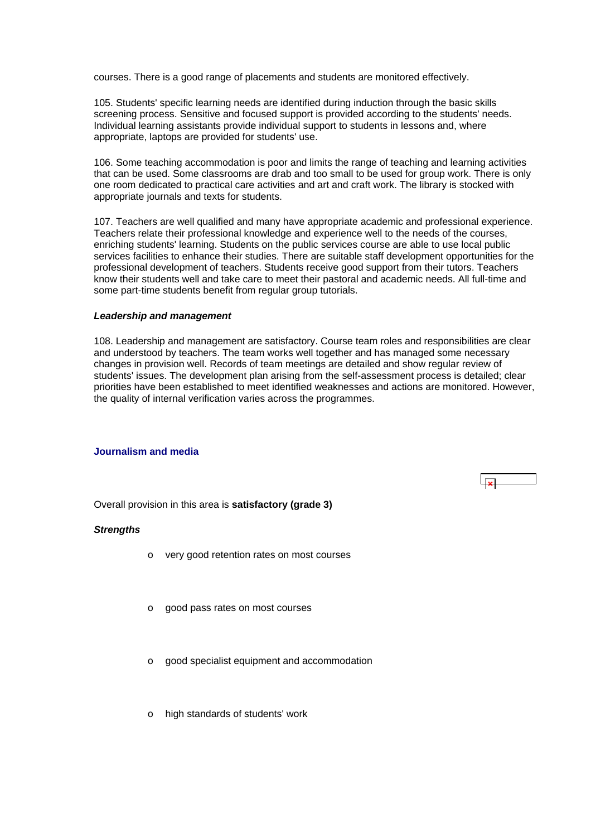<span id="page-40-0"></span>courses. There is a good range of placements and students are monitored effectively.

105. Students' specific learning needs are identified during induction through the basic skills screening process. Sensitive and focused support is provided according to the students' needs. Individual learning assistants provide individual support to students in lessons and, where appropriate, laptops are provided for students' use.

106. Some teaching accommodation is poor and limits the range of teaching and learning activities that can be used. Some classrooms are drab and too small to be used for group work. There is only one room dedicated to practical care activities and art and craft work. The library is stocked with appropriate journals and texts for students.

107. Teachers are well qualified and many have appropriate academic and professional experience. Teachers relate their professional knowledge and experience well to the needs of the courses, enriching students' learning. Students on the public services course are able to use local public services facilities to enhance their studies. There are suitable staff development opportunities for the professional development of teachers. Students receive good support from their tutors. Teachers know their students well and take care to meet their pastoral and academic needs. All full-time and some part-time students benefit from regular group tutorials.

#### *Leadership and management*

108. Leadership and management are satisfactory. Course team roles and responsibilities are clear and understood by teachers. The team works well together and has managed some necessary changes in provision well. Records of team meetings are detailed and show regular review of students' issues. The development plan arising from the self-assessment process is detailed; clear priorities have been established to meet identified weaknesses and actions are monitored. However, the quality of internal verification varies across the programmes.

# **Journalism and media**



Overall provision in this area is **satisfactory (grade 3)**

#### *Strengths*

- o very good retention rates on most courses
- o good pass rates on most courses
- o good specialist equipment and accommodation
- o high standards of students' work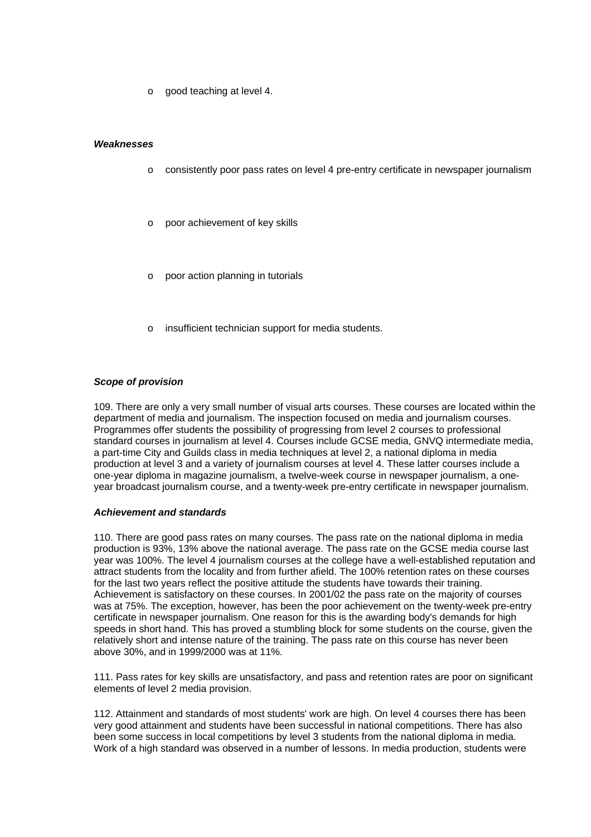o good teaching at level 4.

#### *Weaknesses*

- o consistently poor pass rates on level 4 pre-entry certificate in newspaper journalism
- poor achievement of key skills
- poor action planning in tutorials
- insufficient technician support for media students.

## *Scope of provision*

109. There are only a very small number of visual arts courses. These courses are located within the department of media and journalism. The inspection focused on media and journalism courses. Programmes offer students the possibility of progressing from level 2 courses to professional standard courses in journalism at level 4. Courses include GCSE media, GNVQ intermediate media, a part-time City and Guilds class in media techniques at level 2, a national diploma in media production at level 3 and a variety of journalism courses at level 4. These latter courses include a one-year diploma in magazine journalism, a twelve-week course in newspaper journalism, a oneyear broadcast journalism course, and a twenty-week pre-entry certificate in newspaper journalism.

#### *Achievement and standards*

110. There are good pass rates on many courses. The pass rate on the national diploma in media production is 93%, 13% above the national average. The pass rate on the GCSE media course last year was 100%. The level 4 journalism courses at the college have a well-established reputation and attract students from the locality and from further afield. The 100% retention rates on these courses for the last two years reflect the positive attitude the students have towards their training. Achievement is satisfactory on these courses. In 2001/02 the pass rate on the majority of courses was at 75%. The exception, however, has been the poor achievement on the twenty-week pre-entry certificate in newspaper journalism. One reason for this is the awarding body's demands for high speeds in short hand. This has proved a stumbling block for some students on the course, given the relatively short and intense nature of the training. The pass rate on this course has never been above 30%, and in 1999/2000 was at 11%.

111. Pass rates for key skills are unsatisfactory, and pass and retention rates are poor on significant elements of level 2 media provision.

112. Attainment and standards of most students' work are high. On level 4 courses there has been very good attainment and students have been successful in national competitions. There has also been some success in local competitions by level 3 students from the national diploma in media. Work of a high standard was observed in a number of lessons. In media production, students were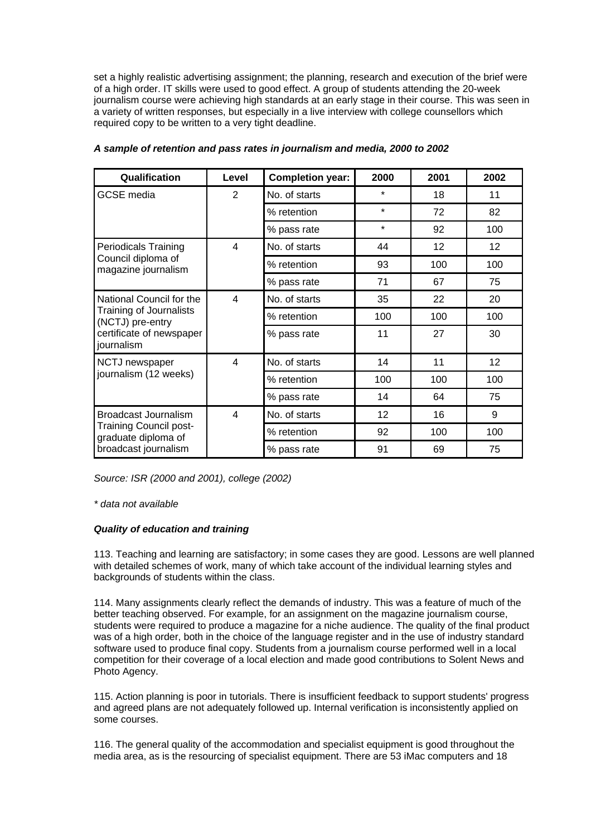set a highly realistic advertising assignment; the planning, research and execution of the brief were of a high order. IT skills were used to good effect. A group of students attending the 20-week journalism course were achieving high standards at an early stage in their course. This was seen in a variety of written responses, but especially in a live interview with college counsellors which required copy to be written to a very tight deadline.

| Qualification                                        | Level                    | <b>Completion year:</b> | 2000    | 2001            | 2002            |
|------------------------------------------------------|--------------------------|-------------------------|---------|-----------------|-----------------|
| <b>GCSE</b> media                                    | $\overline{2}$           | No. of starts           | $\star$ | 18              | 11              |
|                                                      |                          | % retention             | $\star$ | 72              | 82              |
|                                                      |                          | % pass rate             | $\star$ | 92              | 100             |
| <b>Periodicals Training</b>                          | $\overline{\mathbf{4}}$  | No. of starts           | 44      | 12 <sup>2</sup> | 12              |
| Council diploma of<br>magazine journalism            |                          | % retention             | 93      | 100             | 100             |
|                                                      |                          | % pass rate             | 71      | 67              | 75              |
| National Council for the                             | $\overline{\mathcal{A}}$ | No. of starts           | 35      | 22              | 20              |
| Training of Journalists<br>(NCTJ) pre-entry          |                          | % retention             | 100     | 100             | 100             |
| certificate of newspaper<br>journalism               |                          | % pass rate             | 11      | 27              | 30              |
| NCTJ newspaper                                       | 4                        | No. of starts           | 14      | 11              | 12 <sub>2</sub> |
| journalism (12 weeks)                                |                          | % retention             | 100     | 100             | 100             |
|                                                      |                          | % pass rate             | 14      | 64              | 75              |
| Broadcast Journalism                                 | 4                        | No. of starts           | 12      | 16              | 9               |
| <b>Training Council post-</b><br>graduate diploma of |                          | % retention             | 92      | 100             | 100             |
| broadcast journalism                                 |                          | % pass rate             | 91      | 69              | 75              |

## *A sample of retention and pass rates in journalism and media, 2000 to 2002*

*Source: ISR (2000 and 2001), college (2002)*

*\* data not available*

# *Quality of education and training*

113. Teaching and learning are satisfactory; in some cases they are good. Lessons are well planned with detailed schemes of work, many of which take account of the individual learning styles and backgrounds of students within the class.

114. Many assignments clearly reflect the demands of industry. This was a feature of much of the better teaching observed. For example, for an assignment on the magazine journalism course, students were required to produce a magazine for a niche audience. The quality of the final product was of a high order, both in the choice of the language register and in the use of industry standard software used to produce final copy. Students from a journalism course performed well in a local competition for their coverage of a local election and made good contributions to Solent News and Photo Agency.

115. Action planning is poor in tutorials. There is insufficient feedback to support students' progress and agreed plans are not adequately followed up. Internal verification is inconsistently applied on some courses.

116. The general quality of the accommodation and specialist equipment is good throughout the media area, as is the resourcing of specialist equipment. There are 53 iMac computers and 18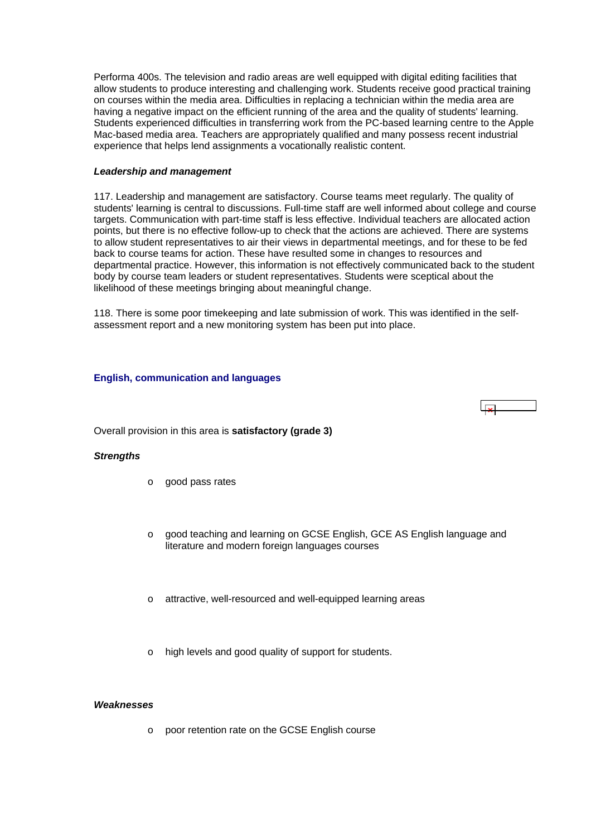<span id="page-43-0"></span>Performa 400s. The television and radio areas are well equipped with digital editing facilities that allow students to produce interesting and challenging work. Students receive good practical training on courses within the media area. Difficulties in replacing a technician within the media area are having a negative impact on the efficient running of the area and the quality of students' learning. Students experienced difficulties in transferring work from the PC-based learning centre to the Apple Mac-based media area. Teachers are appropriately qualified and many possess recent industrial experience that helps lend assignments a vocationally realistic content.

#### *Leadership and management*

117. Leadership and management are satisfactory. Course teams meet regularly. The quality of students' learning is central to discussions. Full-time staff are well informed about college and course targets. Communication with part-time staff is less effective. Individual teachers are allocated action points, but there is no effective follow-up to check that the actions are achieved. There are systems to allow student representatives to air their views in departmental meetings, and for these to be fed back to course teams for action. These have resulted some in changes to resources and departmental practice. However, this information is not effectively communicated back to the student body by course team leaders or student representatives. Students were sceptical about the likelihood of these meetings bringing about meaningful change.

118. There is some poor timekeeping and late submission of work. This was identified in the selfassessment report and a new monitoring system has been put into place.

## **English, communication and languages**



#### *Strengths*

- o good pass rates
- good teaching and learning on GCSE English, GCE AS English language and literature and modern foreign languages courses
- attractive, well-resourced and well-equipped learning areas
- high levels and good quality of support for students.

#### *Weaknesses*

o poor retention rate on the GCSE English course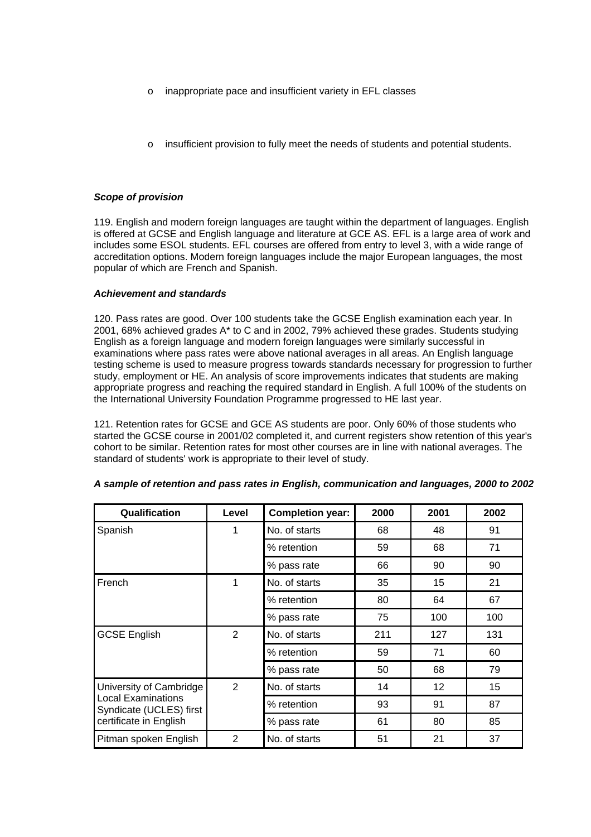- o inappropriate pace and insufficient variety in EFL classes
- insufficient provision to fully meet the needs of students and potential students.

### *Scope of provision*

119. English and modern foreign languages are taught within the department of languages. English is offered at GCSE and English language and literature at GCE AS. EFL is a large area of work and includes some ESOL students. EFL courses are offered from entry to level 3, with a wide range of accreditation options. Modern foreign languages include the major European languages, the most popular of which are French and Spanish.

## *Achievement and standards*

120. Pass rates are good. Over 100 students take the GCSE English examination each year. In 2001, 68% achieved grades A\* to C and in 2002, 79% achieved these grades. Students studying English as a foreign language and modern foreign languages were similarly successful in examinations where pass rates were above national averages in all areas. An English language testing scheme is used to measure progress towards standards necessary for progression to further study, employment or HE. An analysis of score improvements indicates that students are making appropriate progress and reaching the required standard in English. A full 100% of the students on the International University Foundation Programme progressed to HE last year.

121. Retention rates for GCSE and GCE AS students are poor. Only 60% of those students who started the GCSE course in 2001/02 completed it, and current registers show retention of this year's cohort to be similar. Retention rates for most other courses are in line with national averages. The standard of students' work is appropriate to their level of study.

| Qualification                                                                                             | Level          | <b>Completion year:</b> | 2000 | 2001 | 2002 |
|-----------------------------------------------------------------------------------------------------------|----------------|-------------------------|------|------|------|
| Spanish                                                                                                   | 1              | No. of starts           | 68   | 48   | 91   |
|                                                                                                           |                | % retention             | 59   | 68   | 71   |
|                                                                                                           |                | % pass rate             | 66   | 90   | 90   |
| French                                                                                                    | 1              | No. of starts           | 35   | 15   | 21   |
|                                                                                                           |                | % retention             | 80   | 64   | 67   |
|                                                                                                           |                | % pass rate             | 75   | 100  | 100  |
| <b>GCSE English</b>                                                                                       | $\overline{2}$ | No. of starts           | 211  | 127  | 131  |
|                                                                                                           |                | % retention             | 59   | 71   | 60   |
|                                                                                                           |                | % pass rate             | 50   | 68   | 79   |
| University of Cambridge<br><b>Local Examinations</b><br>Syndicate (UCLES) first<br>certificate in English | $\overline{2}$ | No. of starts           | 14   | 12   | 15   |
|                                                                                                           |                | % retention             | 93   | 91   | 87   |
|                                                                                                           |                | % pass rate             | 61   | 80   | 85   |
| Pitman spoken English                                                                                     | $\overline{2}$ | No. of starts           | 51   | 21   | 37   |

## *A sample of retention and pass rates in English, communication and languages, 2000 to 2002*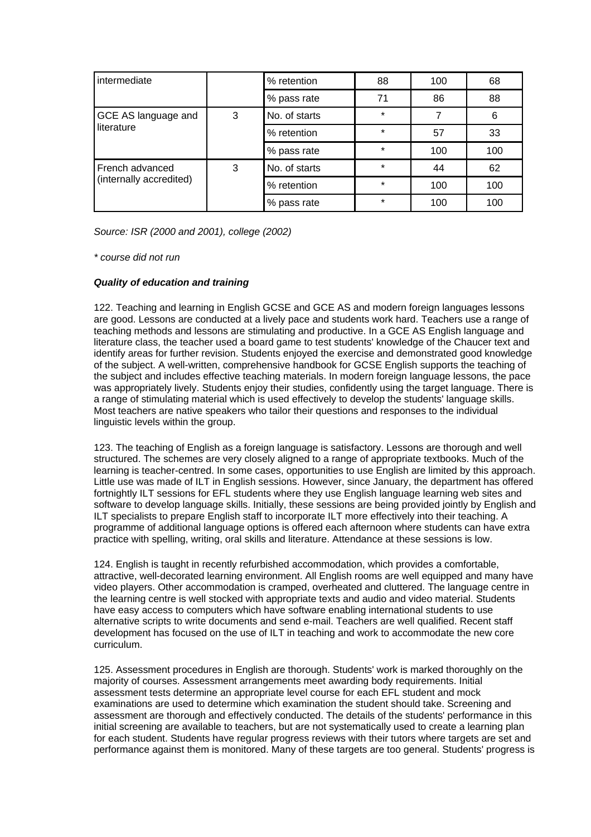| intermediate                               |   | % retention   | 88      | 100 | 68  |
|--------------------------------------------|---|---------------|---------|-----|-----|
|                                            |   | % pass rate   | 71      | 86  | 88  |
| GCE AS language and<br>literature          | 3 | No. of starts | $\star$ | 7   | 6   |
|                                            |   | % retention   | $\star$ | 57  | 33  |
|                                            |   | % pass rate   | $\star$ | 100 | 100 |
| French advanced<br>(internally accredited) | 3 | No. of starts | $\star$ | 44  | 62  |
|                                            |   | % retention   | $\star$ | 100 | 100 |
|                                            |   | % pass rate   | $\star$ | 100 | 100 |

*Source: ISR (2000 and 2001), college (2002)*

*\* course did not run*

# *Quality of education and training*

122. Teaching and learning in English GCSE and GCE AS and modern foreign languages lessons are good. Lessons are conducted at a lively pace and students work hard. Teachers use a range of teaching methods and lessons are stimulating and productive. In a GCE AS English language and literature class, the teacher used a board game to test students' knowledge of the Chaucer text and identify areas for further revision. Students enjoyed the exercise and demonstrated good knowledge of the subject. A well-written, comprehensive handbook for GCSE English supports the teaching of the subject and includes effective teaching materials. In modern foreign language lessons, the pace was appropriately lively. Students enjoy their studies, confidently using the target language. There is a range of stimulating material which is used effectively to develop the students' language skills. Most teachers are native speakers who tailor their questions and responses to the individual linguistic levels within the group.

123. The teaching of English as a foreign language is satisfactory. Lessons are thorough and well structured. The schemes are very closely aligned to a range of appropriate textbooks. Much of the learning is teacher-centred. In some cases, opportunities to use English are limited by this approach. Little use was made of ILT in English sessions. However, since January, the department has offered fortnightly ILT sessions for EFL students where they use English language learning web sites and software to develop language skills. Initially, these sessions are being provided jointly by English and ILT specialists to prepare English staff to incorporate ILT more effectively into their teaching. A programme of additional language options is offered each afternoon where students can have extra practice with spelling, writing, oral skills and literature. Attendance at these sessions is low.

124. English is taught in recently refurbished accommodation, which provides a comfortable, attractive, well-decorated learning environment. All English rooms are well equipped and many have video players. Other accommodation is cramped, overheated and cluttered. The language centre in the learning centre is well stocked with appropriate texts and audio and video material. Students have easy access to computers which have software enabling international students to use alternative scripts to write documents and send e-mail. Teachers are well qualified. Recent staff development has focused on the use of ILT in teaching and work to accommodate the new core curriculum.

125. Assessment procedures in English are thorough. Students' work is marked thoroughly on the majority of courses. Assessment arrangements meet awarding body requirements. Initial assessment tests determine an appropriate level course for each EFL student and mock examinations are used to determine which examination the student should take. Screening and assessment are thorough and effectively conducted. The details of the students' performance in this initial screening are available to teachers, but are not systematically used to create a learning plan for each student. Students have regular progress reviews with their tutors where targets are set and performance against them is monitored. Many of these targets are too general. Students' progress is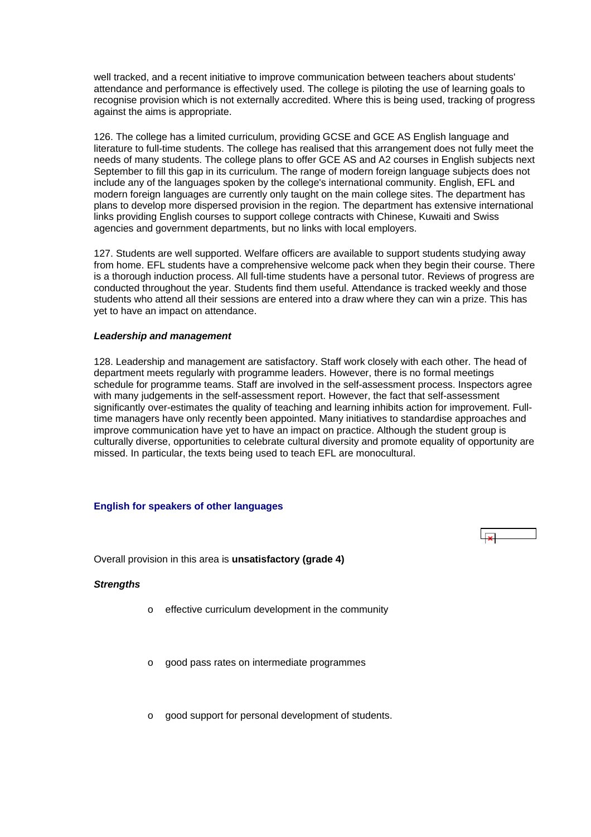<span id="page-46-0"></span>well tracked, and a recent initiative to improve communication between teachers about students' attendance and performance is effectively used. The college is piloting the use of learning goals to recognise provision which is not externally accredited. Where this is being used, tracking of progress against the aims is appropriate.

126. The college has a limited curriculum, providing GCSE and GCE AS English language and literature to full-time students. The college has realised that this arrangement does not fully meet the needs of many students. The college plans to offer GCE AS and A2 courses in English subjects next September to fill this gap in its curriculum. The range of modern foreign language subjects does not include any of the languages spoken by the college's international community. English, EFL and modern foreign languages are currently only taught on the main college sites. The department has plans to develop more dispersed provision in the region. The department has extensive international links providing English courses to support college contracts with Chinese, Kuwaiti and Swiss agencies and government departments, but no links with local employers.

127. Students are well supported. Welfare officers are available to support students studying away from home. EFL students have a comprehensive welcome pack when they begin their course. There is a thorough induction process. All full-time students have a personal tutor. Reviews of progress are conducted throughout the year. Students find them useful. Attendance is tracked weekly and those students who attend all their sessions are entered into a draw where they can win a prize. This has yet to have an impact on attendance.

#### *Leadership and management*

128. Leadership and management are satisfactory. Staff work closely with each other. The head of department meets regularly with programme leaders. However, there is no formal meetings schedule for programme teams. Staff are involved in the self-assessment process. Inspectors agree with many judgements in the self-assessment report. However, the fact that self-assessment significantly over-estimates the quality of teaching and learning inhibits action for improvement. Fulltime managers have only recently been appointed. Many initiatives to standardise approaches and improve communication have yet to have an impact on practice. Although the student group is culturally diverse, opportunities to celebrate cultural diversity and promote equality of opportunity are missed. In particular, the texts being used to teach EFL are monocultural.

# **English for speakers of other languages**

Overall provision in this area is **unsatisfactory (grade 4)**

#### *Strengths*

- o effective curriculum development in the community
- o good pass rates on intermediate programmes
- o good support for personal development of students.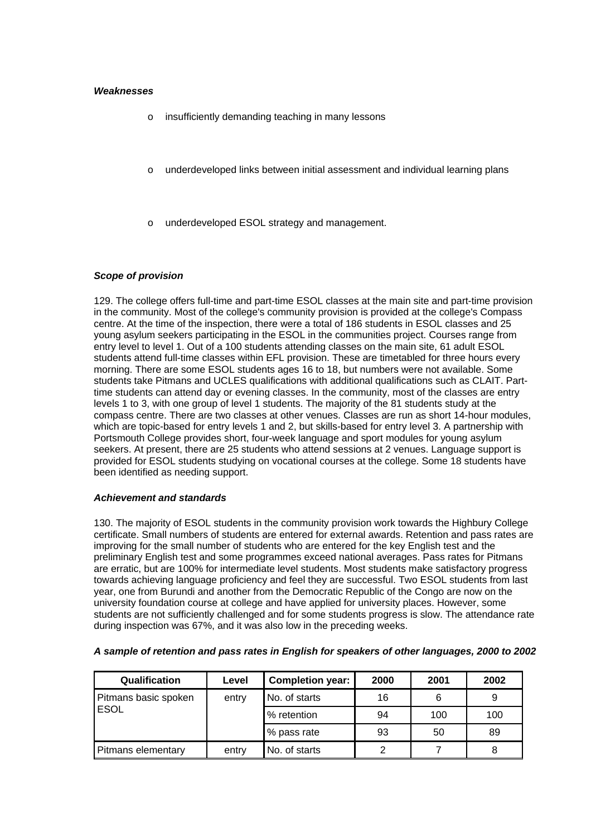### *Weaknesses*

- o insufficiently demanding teaching in many lessons
- o underdeveloped links between initial assessment and individual learning plans
- underdeveloped ESOL strategy and management.

#### *Scope of provision*

129. The college offers full-time and part-time ESOL classes at the main site and part-time provision in the community. Most of the college's community provision is provided at the college's Compass centre. At the time of the inspection, there were a total of 186 students in ESOL classes and 25 young asylum seekers participating in the ESOL in the communities project. Courses range from entry level to level 1. Out of a 100 students attending classes on the main site, 61 adult ESOL students attend full-time classes within EFL provision. These are timetabled for three hours every morning. There are some ESOL students ages 16 to 18, but numbers were not available. Some students take Pitmans and UCLES qualifications with additional qualifications such as CLAIT. Parttime students can attend day or evening classes. In the community, most of the classes are entry levels 1 to 3, with one group of level 1 students. The majority of the 81 students study at the compass centre. There are two classes at other venues. Classes are run as short 14-hour modules, which are topic-based for entry levels 1 and 2, but skills-based for entry level 3. A partnership with Portsmouth College provides short, four-week language and sport modules for young asylum seekers. At present, there are 25 students who attend sessions at 2 venues. Language support is provided for ESOL students studying on vocational courses at the college. Some 18 students have been identified as needing support.

### *Achievement and standards*

130. The majority of ESOL students in the community provision work towards the Highbury College certificate. Small numbers of students are entered for external awards. Retention and pass rates are improving for the small number of students who are entered for the key English test and the preliminary English test and some programmes exceed national averages. Pass rates for Pitmans are erratic, but are 100% for intermediate level students. Most students make satisfactory progress towards achieving language proficiency and feel they are successful. Two ESOL students from last year, one from Burundi and another from the Democratic Republic of the Congo are now on the university foundation course at college and have applied for university places. However, some students are not sufficiently challenged and for some students progress is slow. The attendance rate during inspection was 67%, and it was also low in the preceding weeks.

| Qualification        | Level                  | <b>Completion year:</b> | 2000 | 2001 | 2002 |
|----------------------|------------------------|-------------------------|------|------|------|
| Pitmans basic spoken | No. of starts<br>entry |                         | 16   |      |      |
| <b>ESOL</b>          |                        | % retention             | 94   | 100  | 100  |
|                      |                        | % pass rate             | 93   | 50   | 89   |
| Pitmans elementary   | entry                  | No. of starts           | 2    |      |      |

#### *A sample of retention and pass rates in English for speakers of other languages, 2000 to 2002*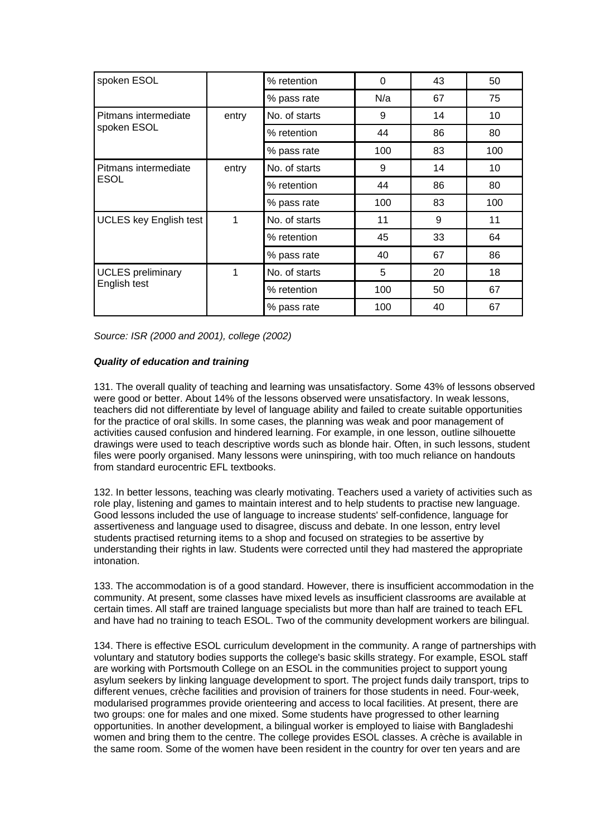| spoken ESOL                   |       | % retention   | $\Omega$ | 43 | 50  |
|-------------------------------|-------|---------------|----------|----|-----|
|                               |       | % pass rate   | N/a      | 67 | 75  |
| Pitmans intermediate          | entry | No. of starts | 9        | 14 | 10  |
| spoken ESOL                   |       | % retention   | 44       | 86 | 80  |
|                               |       | % pass rate   | 100      | 83 | 100 |
| Pitmans intermediate          | entry | No. of starts | 9        | 14 | 10  |
| <b>ESOL</b>                   |       | % retention   | 44       | 86 | 80  |
|                               |       | % pass rate   | 100      | 83 | 100 |
| <b>UCLES</b> key English test | 1     | No. of starts | 11       | 9  | 11  |
|                               |       | % retention   | 45       | 33 | 64  |
|                               |       | % pass rate   | 40       | 67 | 86  |
| <b>UCLES</b> preliminary      | 1     | No. of starts | 5        | 20 | 18  |
| English test                  |       | % retention   | 100      | 50 | 67  |
|                               |       | % pass rate   | 100      | 40 | 67  |

*Source: ISR (2000 and 2001), college (2002)*

# *Quality of education and training*

131. The overall quality of teaching and learning was unsatisfactory. Some 43% of lessons observed were good or better. About 14% of the lessons observed were unsatisfactory. In weak lessons, teachers did not differentiate by level of language ability and failed to create suitable opportunities for the practice of oral skills. In some cases, the planning was weak and poor management of activities caused confusion and hindered learning. For example, in one lesson, outline silhouette drawings were used to teach descriptive words such as blonde hair. Often, in such lessons, student files were poorly organised. Many lessons were uninspiring, with too much reliance on handouts from standard eurocentric FFL textbooks

132. In better lessons, teaching was clearly motivating. Teachers used a variety of activities such as role play, listening and games to maintain interest and to help students to practise new language. Good lessons included the use of language to increase students' self-confidence, language for assertiveness and language used to disagree, discuss and debate. In one lesson, entry level students practised returning items to a shop and focused on strategies to be assertive by understanding their rights in law. Students were corrected until they had mastered the appropriate intonation.

133. The accommodation is of a good standard. However, there is insufficient accommodation in the community. At present, some classes have mixed levels as insufficient classrooms are available at certain times. All staff are trained language specialists but more than half are trained to teach EFL and have had no training to teach ESOL. Two of the community development workers are bilingual.

134. There is effective ESOL curriculum development in the community. A range of partnerships with voluntary and statutory bodies supports the college's basic skills strategy. For example, ESOL staff are working with Portsmouth College on an ESOL in the communities project to support young asylum seekers by linking language development to sport. The project funds daily transport, trips to different venues, crèche facilities and provision of trainers for those students in need. Four-week, modularised programmes provide orienteering and access to local facilities. At present, there are two groups: one for males and one mixed. Some students have progressed to other learning opportunities. In another development, a bilingual worker is employed to liaise with Bangladeshi women and bring them to the centre. The college provides ESOL classes. A crèche is available in the same room. Some of the women have been resident in the country for over ten years and are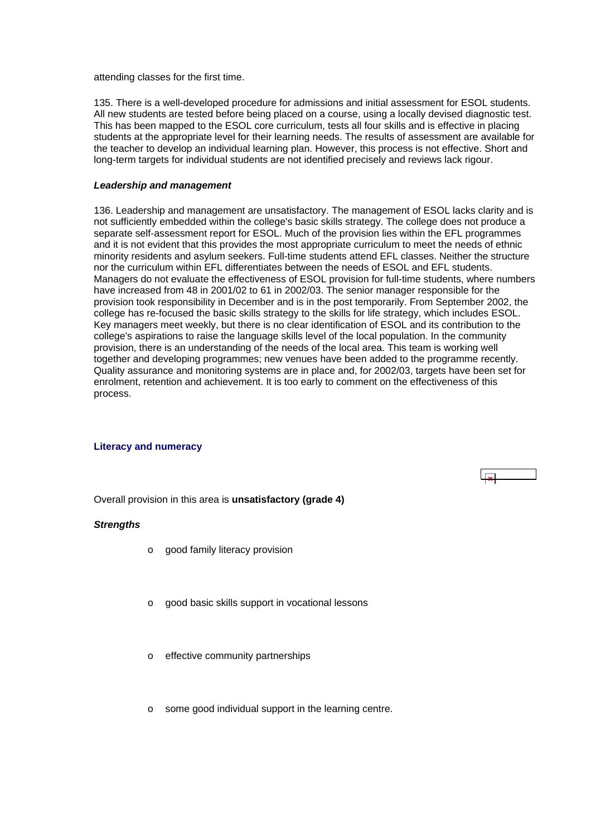<span id="page-49-0"></span>attending classes for the first time.

135. There is a well-developed procedure for admissions and initial assessment for ESOL students. All new students are tested before being placed on a course, using a locally devised diagnostic test. This has been mapped to the ESOL core curriculum, tests all four skills and is effective in placing students at the appropriate level for their learning needs. The results of assessment are available for the teacher to develop an individual learning plan. However, this process is not effective. Short and long-term targets for individual students are not identified precisely and reviews lack rigour.

#### *Leadership and management*

136. Leadership and management are unsatisfactory. The management of ESOL lacks clarity and is not sufficiently embedded within the college's basic skills strategy. The college does not produce a separate self-assessment report for ESOL. Much of the provision lies within the EFL programmes and it is not evident that this provides the most appropriate curriculum to meet the needs of ethnic minority residents and asylum seekers. Full-time students attend EFL classes. Neither the structure nor the curriculum within EFL differentiates between the needs of ESOL and EFL students. Managers do not evaluate the effectiveness of ESOL provision for full-time students, where numbers have increased from 48 in 2001/02 to 61 in 2002/03. The senior manager responsible for the provision took responsibility in December and is in the post temporarily. From September 2002, the college has re-focused the basic skills strategy to the skills for life strategy, which includes ESOL. Key managers meet weekly, but there is no clear identification of ESOL and its contribution to the college's aspirations to raise the language skills level of the local population. In the community provision, there is an understanding of the needs of the local area. This team is working well together and developing programmes; new venues have been added to the programme recently. Quality assurance and monitoring systems are in place and, for 2002/03, targets have been set for enrolment, retention and achievement. It is too early to comment on the effectiveness of this process.

#### **Literacy and numeracy**

Overall provision in this area is **unsatisfactory (grade 4)**

#### *Strengths*

- o good family literacy provision
- o good basic skills support in vocational lessons
- o effective community partnerships
- o some good individual support in the learning centre.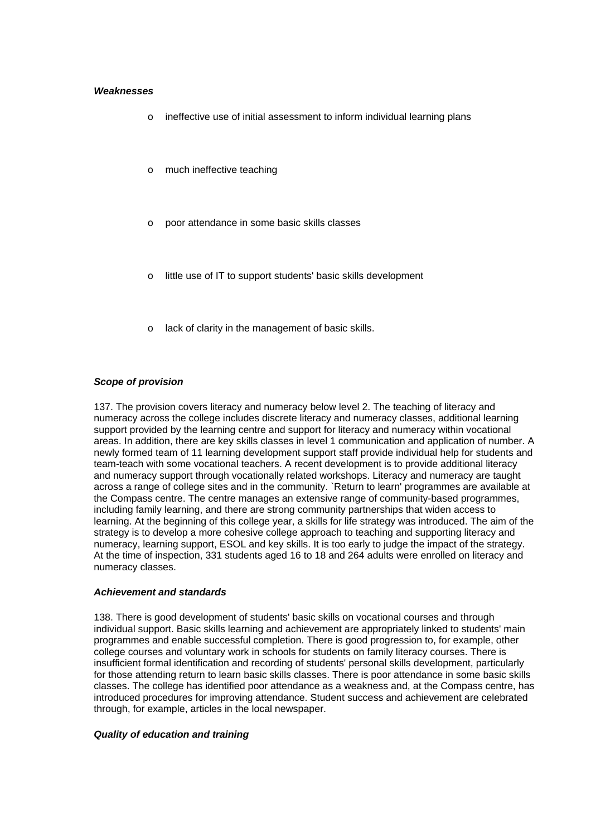#### *Weaknesses*

- o ineffective use of initial assessment to inform individual learning plans
- o much ineffective teaching
- o poor attendance in some basic skills classes
- little use of IT to support students' basic skills development
- lack of clarity in the management of basic skills.

## *Scope of provision*

137. The provision covers literacy and numeracy below level 2. The teaching of literacy and numeracy across the college includes discrete literacy and numeracy classes, additional learning support provided by the learning centre and support for literacy and numeracy within vocational areas. In addition, there are key skills classes in level 1 communication and application of number. A newly formed team of 11 learning development support staff provide individual help for students and team-teach with some vocational teachers. A recent development is to provide additional literacy and numeracy support through vocationally related workshops. Literacy and numeracy are taught across a range of college sites and in the community. `Return to learn' programmes are available at the Compass centre. The centre manages an extensive range of community-based programmes, including family learning, and there are strong community partnerships that widen access to learning. At the beginning of this college year, a skills for life strategy was introduced. The aim of the strategy is to develop a more cohesive college approach to teaching and supporting literacy and numeracy, learning support, ESOL and key skills. It is too early to judge the impact of the strategy. At the time of inspection, 331 students aged 16 to 18 and 264 adults were enrolled on literacy and numeracy classes.

### *Achievement and standards*

138. There is good development of students' basic skills on vocational courses and through individual support. Basic skills learning and achievement are appropriately linked to students' main programmes and enable successful completion. There is good progression to, for example, other college courses and voluntary work in schools for students on family literacy courses. There is insufficient formal identification and recording of students' personal skills development, particularly for those attending return to learn basic skills classes. There is poor attendance in some basic skills classes. The college has identified poor attendance as a weakness and, at the Compass centre, has introduced procedures for improving attendance. Student success and achievement are celebrated through, for example, articles in the local newspaper.

#### *Quality of education and training*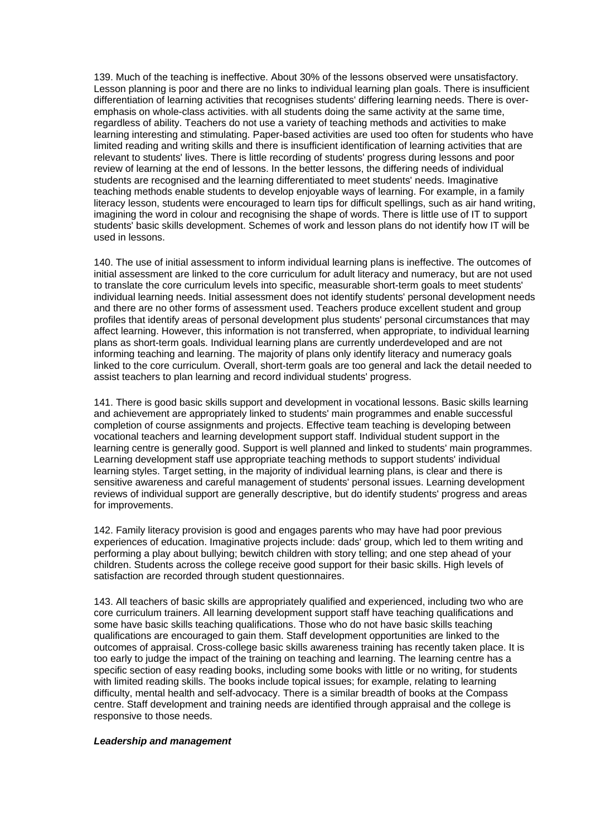139. Much of the teaching is ineffective. About 30% of the lessons observed were unsatisfactory. Lesson planning is poor and there are no links to individual learning plan goals. There is insufficient differentiation of learning activities that recognises students' differing learning needs. There is overemphasis on whole-class activities. with all students doing the same activity at the same time, regardless of ability. Teachers do not use a variety of teaching methods and activities to make learning interesting and stimulating. Paper-based activities are used too often for students who have limited reading and writing skills and there is insufficient identification of learning activities that are relevant to students' lives. There is little recording of students' progress during lessons and poor review of learning at the end of lessons. In the better lessons, the differing needs of individual students are recognised and the learning differentiated to meet students' needs. Imaginative teaching methods enable students to develop enjoyable ways of learning. For example, in a family literacy lesson, students were encouraged to learn tips for difficult spellings, such as air hand writing, imagining the word in colour and recognising the shape of words. There is little use of IT to support students' basic skills development. Schemes of work and lesson plans do not identify how IT will be used in lessons.

140. The use of initial assessment to inform individual learning plans is ineffective. The outcomes of initial assessment are linked to the core curriculum for adult literacy and numeracy, but are not used to translate the core curriculum levels into specific, measurable short-term goals to meet students' individual learning needs. Initial assessment does not identify students' personal development needs and there are no other forms of assessment used. Teachers produce excellent student and group profiles that identify areas of personal development plus students' personal circumstances that may affect learning. However, this information is not transferred, when appropriate, to individual learning plans as short-term goals. Individual learning plans are currently underdeveloped and are not informing teaching and learning. The majority of plans only identify literacy and numeracy goals linked to the core curriculum. Overall, short-term goals are too general and lack the detail needed to assist teachers to plan learning and record individual students' progress.

141. There is good basic skills support and development in vocational lessons. Basic skills learning and achievement are appropriately linked to students' main programmes and enable successful completion of course assignments and projects. Effective team teaching is developing between vocational teachers and learning development support staff. Individual student support in the learning centre is generally good. Support is well planned and linked to students' main programmes. Learning development staff use appropriate teaching methods to support students' individual learning styles. Target setting, in the majority of individual learning plans, is clear and there is sensitive awareness and careful management of students' personal issues. Learning development reviews of individual support are generally descriptive, but do identify students' progress and areas for improvements.

142. Family literacy provision is good and engages parents who may have had poor previous experiences of education. Imaginative projects include: dads' group, which led to them writing and performing a play about bullying; bewitch children with story telling; and one step ahead of your children. Students across the college receive good support for their basic skills. High levels of satisfaction are recorded through student questionnaires.

143. All teachers of basic skills are appropriately qualified and experienced, including two who are core curriculum trainers. All learning development support staff have teaching qualifications and some have basic skills teaching qualifications. Those who do not have basic skills teaching qualifications are encouraged to gain them. Staff development opportunities are linked to the outcomes of appraisal. Cross-college basic skills awareness training has recently taken place. It is too early to judge the impact of the training on teaching and learning. The learning centre has a specific section of easy reading books, including some books with little or no writing, for students with limited reading skills. The books include topical issues; for example, relating to learning difficulty, mental health and self-advocacy. There is a similar breadth of books at the Compass centre. Staff development and training needs are identified through appraisal and the college is responsive to those needs.

#### *Leadership and management*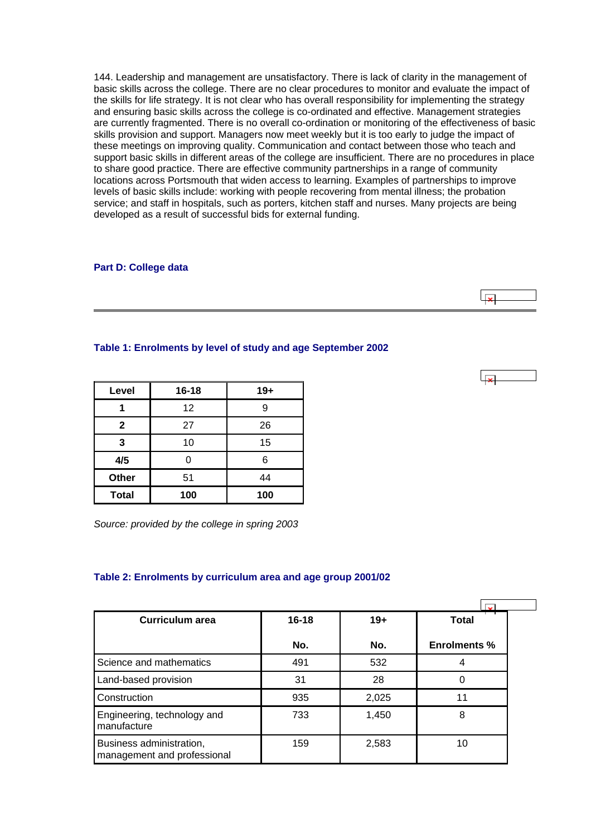<span id="page-52-0"></span>144. Leadership and management are unsatisfactory. There is lack of clarity in the management of basic skills across the college. There are no clear procedures to monitor and evaluate the impact of the skills for life strategy. It is not clear who has overall responsibility for implementing the strategy and ensuring basic skills across the college is co-ordinated and effective. Management strategies are currently fragmented. There is no overall co-ordination or monitoring of the effectiveness of basic skills provision and support. Managers now meet weekly but it is too early to judge the impact of these meetings on improving quality. Communication and contact between those who teach and support basic skills in different areas of the college are insufficient. There are no procedures in place to share good practice. There are effective community partnerships in a range of community locations across Portsmouth that widen access to learning. Examples of partnerships to improve levels of basic skills include: working with people recovering from mental illness; the probation service; and staff in hospitals, such as porters, kitchen staff and nurses. Many projects are being developed as a result of successful bids for external funding.

#### **Part D: College data**

## **Table 1: Enrolments by level of study and age September 2002**

| Level        | $16 - 18$ | $19+$ |
|--------------|-----------|-------|
|              | 12        | 9     |
| $\mathbf{2}$ | 27        | 26    |
| 3            | 10        | 15    |
| 4/5          | ი         | 6     |
| <b>Other</b> | 51        | 44    |
| <b>Total</b> | 100       | 100   |

*Source: provided by the college in spring 2003*

#### **Table 2: Enrolments by curriculum area and age group 2001/02**

| <b>Curriculum area</b>                                  | $16 - 18$ | $19+$ | <b>Total</b>        |
|---------------------------------------------------------|-----------|-------|---------------------|
|                                                         | No.       | No.   | <b>Enrolments %</b> |
| Science and mathematics                                 | 491       | 532   | 4                   |
| Land-based provision                                    | 31        | 28    | 0                   |
| Construction                                            | 935       | 2,025 | 11                  |
| Engineering, technology and<br>manufacture              | 733       | 1,450 | 8                   |
| Business administration,<br>management and professional | 159       | 2,583 | 10                  |

 $\overline{1}$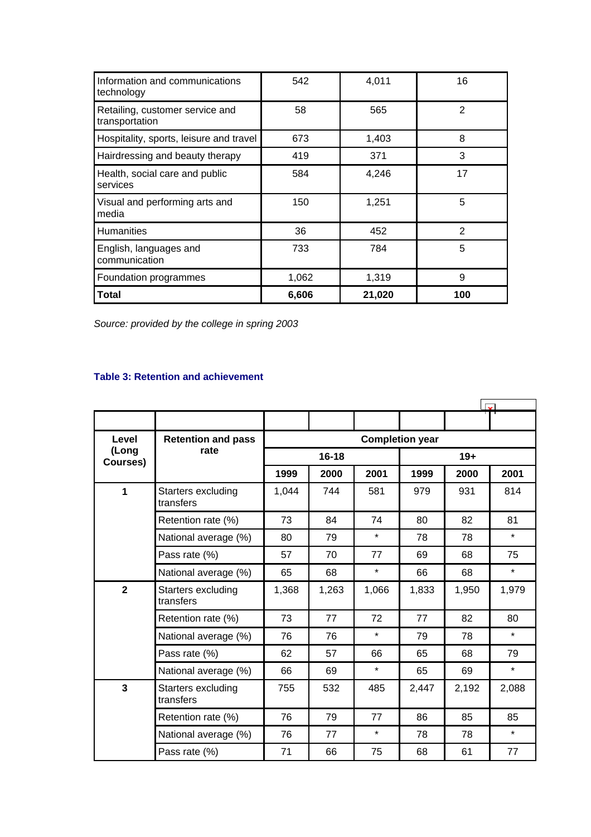<span id="page-53-0"></span>

| Information and communications<br>technology      | 542   | 4,011  | 16            |
|---------------------------------------------------|-------|--------|---------------|
| Retailing, customer service and<br>transportation | 58    | 565    |               |
| Hospitality, sports, leisure and travel           | 673   | 1,403  | 8             |
| Hairdressing and beauty therapy                   | 419   | 371    | 3             |
| Health, social care and public<br>services        | 584   | 4,246  | 17            |
| Visual and performing arts and<br>media           | 150   | 1,251  | 5             |
| Humanities                                        | 36    | 452    | $\mathcal{P}$ |
| English, languages and<br>communication           | 733   | 784    | 5             |
| Foundation programmes                             | 1,062 | 1,319  | 9             |
| Total                                             | 6,606 | 21,020 | 100           |

*Source: provided by the college in spring 2003*

# **Table 3: Retention and achievement**

| Level                   | <b>Retention and pass</b>       | <b>Completion year</b> |           |         |       |       |         |  |
|-------------------------|---------------------------------|------------------------|-----------|---------|-------|-------|---------|--|
| (Long<br>Courses)       | rate                            |                        | $16 - 18$ |         | $19+$ |       |         |  |
|                         |                                 | 1999                   | 2000      | 2001    | 1999  | 2000  | 2001    |  |
| 1                       | Starters excluding<br>transfers | 1,044                  | 744       | 581     | 979   | 931   | 814     |  |
|                         | Retention rate (%)              | 73                     | 84        | 74      | 80    | 82    | 81      |  |
|                         | National average (%)            | 80                     | 79        | $\star$ | 78    | 78    | $\star$ |  |
|                         | Pass rate (%)                   | 57                     | 70        | 77      | 69    | 68    | 75      |  |
|                         | National average (%)            | 65                     | 68        | $\star$ | 66    | 68    | $\star$ |  |
| $\overline{2}$          | Starters excluding<br>transfers | 1,368                  | 1,263     | 1,066   | 1,833 | 1,950 | 1,979   |  |
|                         | Retention rate (%)              | 73                     | 77        | 72      | 77    | 82    | 80      |  |
|                         | National average (%)            | 76                     | 76        | $\star$ | 79    | 78    | $\star$ |  |
|                         | Pass rate (%)                   | 62                     | 57        | 66      | 65    | 68    | 79      |  |
|                         | National average (%)            | 66                     | 69        | $\star$ | 65    | 69    | $\star$ |  |
| $\overline{\mathbf{3}}$ | Starters excluding<br>transfers | 755                    | 532       | 485     | 2,447 | 2,192 | 2,088   |  |
|                         | Retention rate (%)              | 76                     | 79        | 77      | 86    | 85    | 85      |  |
|                         | National average (%)            | 76                     | 77        | $\star$ | 78    | 78    | $\star$ |  |
|                         | Pass rate (%)                   | 71                     | 66        | 75      | 68    | 61    | 77      |  |